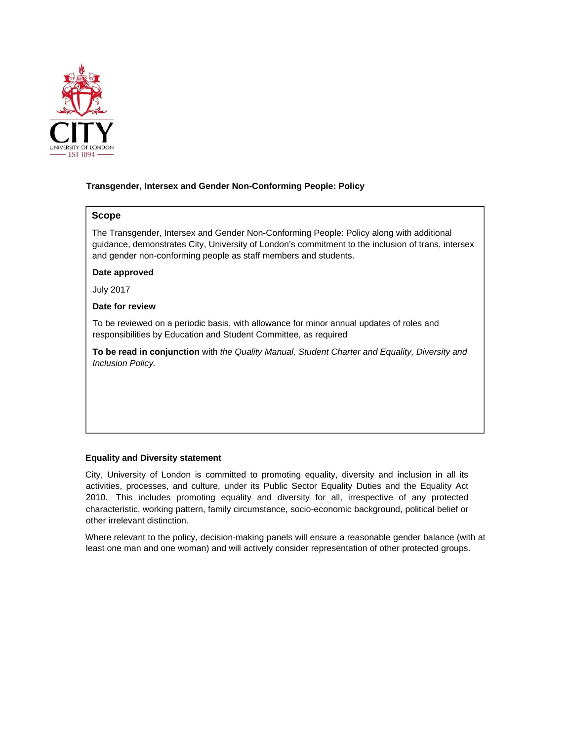

# **Transgender, Intersex and Gender Non-Conforming People: Policy**

# **Scope**

The Transgender, Intersex and Gender Non-Conforming People: Policy along with additional guidance, demonstrates City, University of London's commitment to the inclusion of trans, intersex and gender non-conforming people as staff members and students.

## **Date approved**

July 2017

### **Date for review**

To be reviewed on a periodic basis, with allowance for minor annual updates of roles and responsibilities by Education and Student Committee, as required

**To be read in conjunction** with *the Quality Manual, Student Charter and Equality, Diversity and Inclusion Policy.* 

# **Equality and Diversity statement**

City, University of London is committed to promoting equality, diversity and inclusion in all its activities, processes, and culture, under its Public Sector Equality Duties and the Equality Act 2010. This includes promoting equality and diversity for all, irrespective of any protected characteristic, working pattern, family circumstance, socio-economic background, political belief or other irrelevant distinction.

Where relevant to the policy, decision-making panels will ensure a reasonable gender balance (with at least one man and one woman) and will actively consider representation of other protected groups.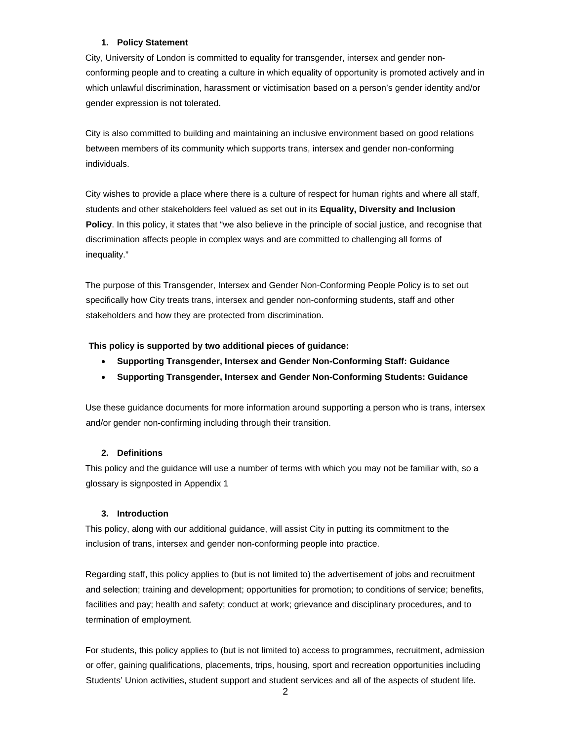# **1. Policy Statement**

City, University of London is committed to equality for transgender, intersex and gender nonconforming people and to creating a culture in which equality of opportunity is promoted actively and in which unlawful discrimination, harassment or victimisation based on a person's gender identity and/or gender expression is not tolerated.

City is also committed to building and maintaining an inclusive environment based on good relations between members of its community which supports trans, intersex and gender non-conforming individuals.

City wishes to provide a place where there is a culture of respect for human rights and where all staff, students and other stakeholders feel valued as set out in its **Equality, Diversity and Inclusion Policy**. In this policy, it states that "we also believe in the principle of social justice, and recognise that discrimination affects people in complex ways and are committed to challenging all forms of inequality."

The purpose of this Transgender, Intersex and Gender Non-Conforming People Policy is to set out specifically how City treats trans, intersex and gender non-conforming students, staff and other stakeholders and how they are protected from discrimination.

### **This policy is supported by two additional pieces of guidance:**

- **Supporting Transgender, Intersex and Gender Non-Conforming Staff: Guidance**
- **Supporting Transgender, Intersex and Gender Non-Conforming Students: Guidance**

Use these guidance documents for more information around supporting a person who is trans, intersex and/or gender non-confirming including through their transition.

### **2. Definitions**

This policy and the guidance will use a number of terms with which you may not be familiar with, so a glossary is signposted in Appendix 1

#### **3. Introduction**

This policy, along with our additional guidance, will assist City in putting its commitment to the inclusion of trans, intersex and gender non-conforming people into practice.

Regarding staff, this policy applies to (but is not limited to) the advertisement of jobs and recruitment and selection; training and development; opportunities for promotion; to conditions of service; benefits, facilities and pay; health and safety; conduct at work; grievance and disciplinary procedures, and to termination of employment.

For students, this policy applies to (but is not limited to) access to programmes, recruitment, admission or offer, gaining qualifications, placements, trips, housing, sport and recreation opportunities including Students' Union activities, student support and student services and all of the aspects of student life.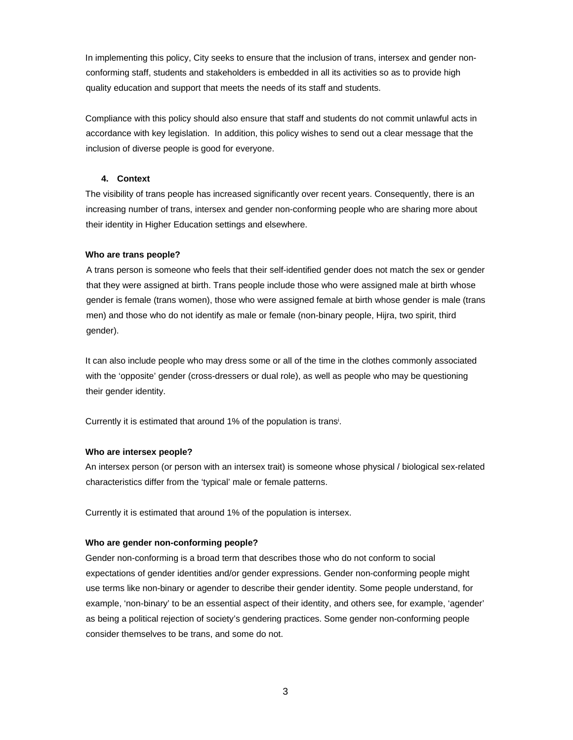In implementing this policy, City seeks to ensure that the inclusion of trans, intersex and gender nonconforming staff, students and stakeholders is embedded in all its activities so as to provide high quality education and support that meets the needs of its staff and students.

Compliance with this policy should also ensure that staff and students do not commit unlawful acts in accordance with key legislation. In addition, this policy wishes to send out a clear message that the inclusion of diverse people is good for everyone.

### **4. Context**

The visibility of trans people has increased significantly over recent years. Consequently, there is an increasing number of trans, intersex and gender non-conforming people who are sharing more about their identity in Higher Education settings and elsewhere.

#### **Who are trans people?**

A trans person is someone who feels that their self-identified gender does not match the sex or gender that they were assigned at birth. Trans people include those who were assigned male at birth whose gender is female (trans women), those who were assigned female at birth whose gender is male (trans men) and those who do not identify as male or female (non-binary people, Hijra, two spirit, third gender).

It can also include people who may dress some or all of the time in the clothes commonly associated with the 'opposite' gender (cross-dressers or dual role), as well as people who may be questioning their gender identity.

Currently it is estimated that around 1% of the population is trans<sup>i</sup>.

### **Who are intersex people?**

An intersex person (or person with an intersex trait) is someone whose physical / biological sex-related characteristics differ from the 'typical' male or female patterns.

Currently it is estimated that around 1% of the population is intersex.

### **Who are gender non-conforming people?**

Gender non-conforming is a broad term that describes those who do not conform to social expectations of gender identities and/or gender expressions. Gender non-conforming people might use terms like non-binary or agender to describe their gender identity. Some people understand, for example, 'non-binary' to be an essential aspect of their identity, and others see, for example, 'agender' as being a political rejection of society's gendering practices. Some gender non-conforming people consider themselves to be trans, and some do not.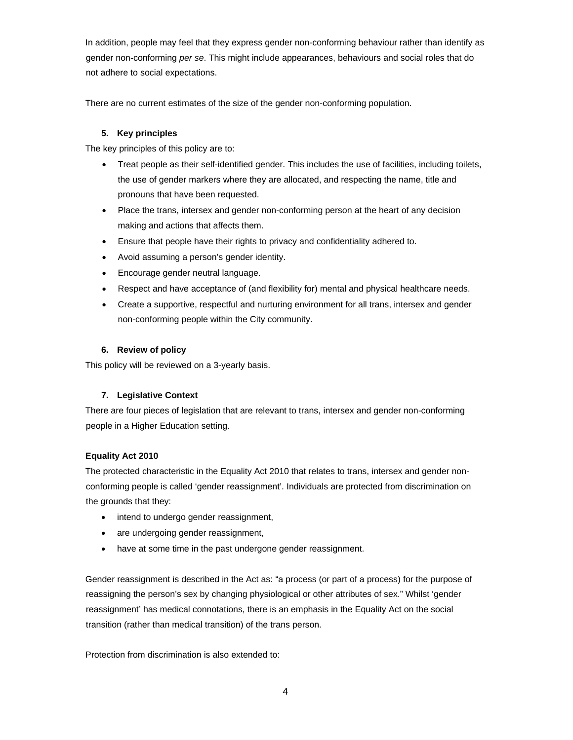In addition, people may feel that they express gender non-conforming behaviour rather than identify as gender non-conforming *per se*. This might include appearances, behaviours and social roles that do not adhere to social expectations.

There are no current estimates of the size of the gender non-conforming population.

# **5. Key principles**

The key principles of this policy are to:

- Treat people as their self-identified gender. This includes the use of facilities, including toilets, the use of gender markers where they are allocated, and respecting the name, title and pronouns that have been requested.
- Place the trans, intersex and gender non-conforming person at the heart of any decision making and actions that affects them.
- Ensure that people have their rights to privacy and confidentiality adhered to.
- Avoid assuming a person's gender identity.
- Encourage gender neutral language.
- Respect and have acceptance of (and flexibility for) mental and physical healthcare needs.
- Create a supportive, respectful and nurturing environment for all trans, intersex and gender non-conforming people within the City community.

# **6. Review of policy**

This policy will be reviewed on a 3-yearly basis.

# **7. Legislative Context**

There are four pieces of legislation that are relevant to trans, intersex and gender non-conforming people in a Higher Education setting.

# **Equality Act 2010**

The protected characteristic in the Equality Act 2010 that relates to trans, intersex and gender nonconforming people is called 'gender reassignment'. Individuals are protected from discrimination on the grounds that they:

- intend to undergo gender reassignment,
- are undergoing gender reassignment,
- have at some time in the past undergone gender reassignment.

Gender reassignment is described in the Act as: "a process (or part of a process) for the purpose of reassigning the person's sex by changing physiological or other attributes of sex." Whilst 'gender reassignment' has medical connotations, there is an emphasis in the Equality Act on the social transition (rather than medical transition) of the trans person.

Protection from discrimination is also extended to: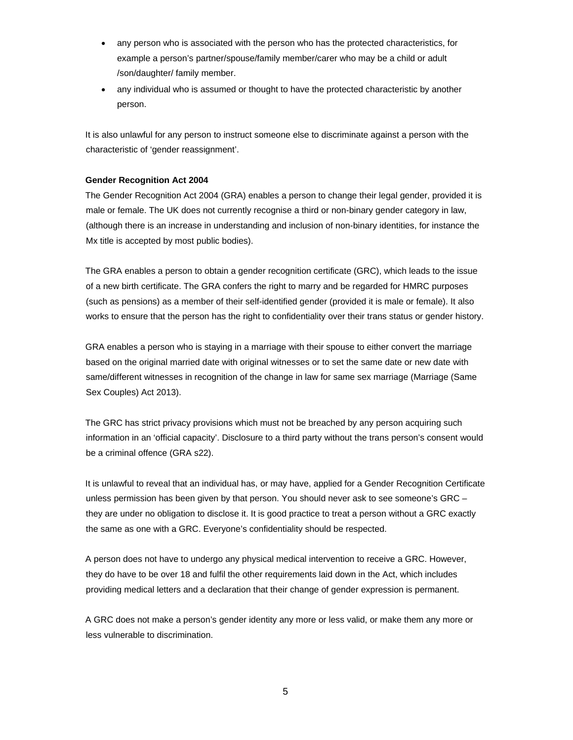- any person who is associated with the person who has the protected characteristics, for example a person's partner/spouse/family member/carer who may be a child or adult /son/daughter/ family member.
- any individual who is assumed or thought to have the protected characteristic by another person.

It is also unlawful for any person to instruct someone else to discriminate against a person with the characteristic of 'gender reassignment'.

## **Gender Recognition Act 2004**

The Gender Recognition Act 2004 (GRA) enables a person to change their legal gender, provided it is male or female. The UK does not currently recognise a third or non-binary gender category in law, (although there is an increase in understanding and inclusion of non-binary identities, for instance the Mx title is accepted by most public bodies).

The GRA enables a person to obtain a gender recognition certificate (GRC), which leads to the issue of a new birth certificate. The GRA confers the right to marry and be regarded for HMRC purposes (such as pensions) as a member of their self-identified gender (provided it is male or female). It also works to ensure that the person has the right to confidentiality over their trans status or gender history.

GRA enables a person who is staying in a marriage with their spouse to either convert the marriage based on the original married date with original witnesses or to set the same date or new date with same/different witnesses in recognition of the change in law for same sex marriage (Marriage (Same Sex Couples) Act 2013).

The GRC has strict privacy provisions which must not be breached by any person acquiring such information in an 'official capacity'. Disclosure to a third party without the trans person's consent would be a criminal offence (GRA s22).

It is unlawful to reveal that an individual has, or may have, applied for a Gender Recognition Certificate unless permission has been given by that person. You should never ask to see someone's GRC – they are under no obligation to disclose it. It is good practice to treat a person without a GRC exactly the same as one with a GRC. Everyone's confidentiality should be respected.

A person does not have to undergo any physical medical intervention to receive a GRC. However, they do have to be over 18 and fulfil the other requirements laid down in the Act, which includes providing medical letters and a declaration that their change of gender expression is permanent.

A GRC does not make a person's gender identity any more or less valid, or make them any more or less vulnerable to discrimination.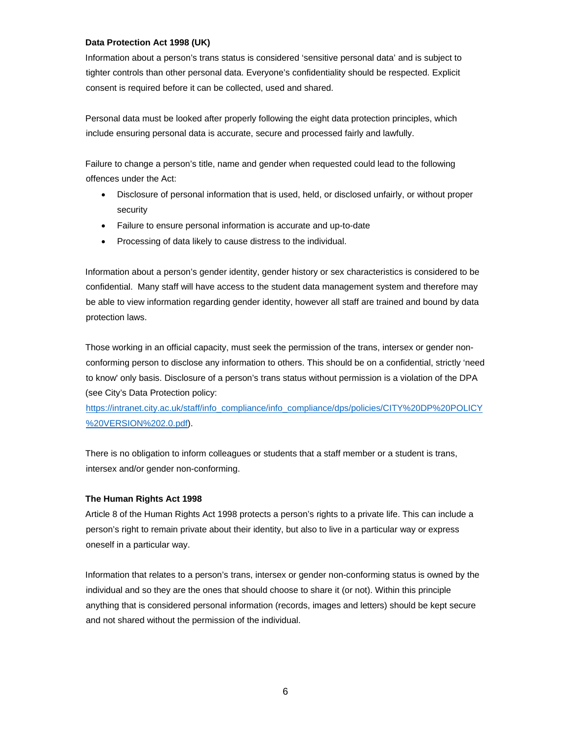## **Data Protection Act 1998 (UK)**

Information about a person's trans status is considered 'sensitive personal data' and is subject to tighter controls than other personal data. Everyone's confidentiality should be respected. Explicit consent is required before it can be collected, used and shared.

Personal data must be looked after properly following the eight data protection principles, which include ensuring personal data is accurate, secure and processed fairly and lawfully.

Failure to change a person's title, name and gender when requested could lead to the following offences under the Act:

- Disclosure of personal information that is used, held, or disclosed unfairly, or without proper security
- Failure to ensure personal information is accurate and up-to-date
- Processing of data likely to cause distress to the individual.

Information about a person's gender identity, gender history or sex characteristics is considered to be confidential. Many staff will have access to the student data management system and therefore may be able to view information regarding gender identity, however all staff are trained and bound by data protection laws.

Those working in an official capacity, must seek the permission of the trans, intersex or gender nonconforming person to disclose any information to others. This should be on a confidential, strictly 'need to know' only basis. Disclosure of a person's trans status without permission is a violation of the DPA (see City's Data Protection policy:

https://intranet.city.ac.uk/staff/info\_compliance/info\_compliance/dps/policies/CITY%20DP%20POLICY %20VERSION%202.0.pdf).

There is no obligation to inform colleagues or students that a staff member or a student is trans, intersex and/or gender non-conforming.

# **The Human Rights Act 1998**

Article 8 of the Human Rights Act 1998 protects a person's rights to a private life. This can include a person's right to remain private about their identity, but also to live in a particular way or express oneself in a particular way.

Information that relates to a person's trans, intersex or gender non-conforming status is owned by the individual and so they are the ones that should choose to share it (or not). Within this principle anything that is considered personal information (records, images and letters) should be kept secure and not shared without the permission of the individual.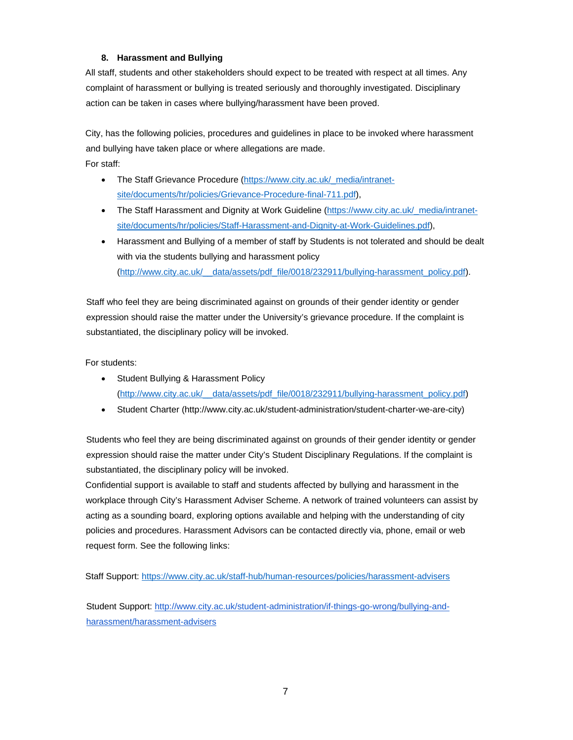# **8. Harassment and Bullying**

All staff, students and other stakeholders should expect to be treated with respect at all times. Any complaint of harassment or bullying is treated seriously and thoroughly investigated. Disciplinary action can be taken in cases where bullying/harassment have been proved.

City, has the following policies, procedures and guidelines in place to be invoked where harassment and bullying have taken place or where allegations are made.

For staff:

- The Staff Grievance Procedure (https://www.city.ac.uk/\_media/intranetsite/documents/hr/policies/Grievance-Procedure-final-711.pdf),
- The Staff Harassment and Dignity at Work Guideline (https://www.city.ac.uk/\_media/intranetsite/documents/hr/policies/Staff-Harassment-and-Dignity-at-Work-Guidelines.pdf),
- Harassment and Bullying of a member of staff by Students is not tolerated and should be dealt with via the students bullying and harassment policy (http://www.city.ac.uk/\_\_data/assets/pdf\_file/0018/232911/bullying-harassment\_policy.pdf).

Staff who feel they are being discriminated against on grounds of their gender identity or gender expression should raise the matter under the University's grievance procedure. If the complaint is substantiated, the disciplinary policy will be invoked.

For students:

- Student Bullying & Harassment Policy (http://www.city.ac.uk/\_\_data/assets/pdf\_file/0018/232911/bullying-harassment\_policy.pdf)
- Student Charter (http://www.city.ac.uk/student-administration/student-charter-we-are-city)

Students who feel they are being discriminated against on grounds of their gender identity or gender expression should raise the matter under City's Student Disciplinary Regulations. If the complaint is substantiated, the disciplinary policy will be invoked.

Confidential support is available to staff and students affected by bullying and harassment in the workplace through City's Harassment Adviser Scheme. A network of trained volunteers can assist by acting as a sounding board, exploring options available and helping with the understanding of city policies and procedures. Harassment Advisors can be contacted directly via, phone, email or web request form. See the following links:

Staff Support: https://www.city.ac.uk/staff-hub/human-resources/policies/harassment-advisers

Student Support: http://www.city.ac.uk/student-administration/if-things-go-wrong/bullying-andharassment/harassment-advisers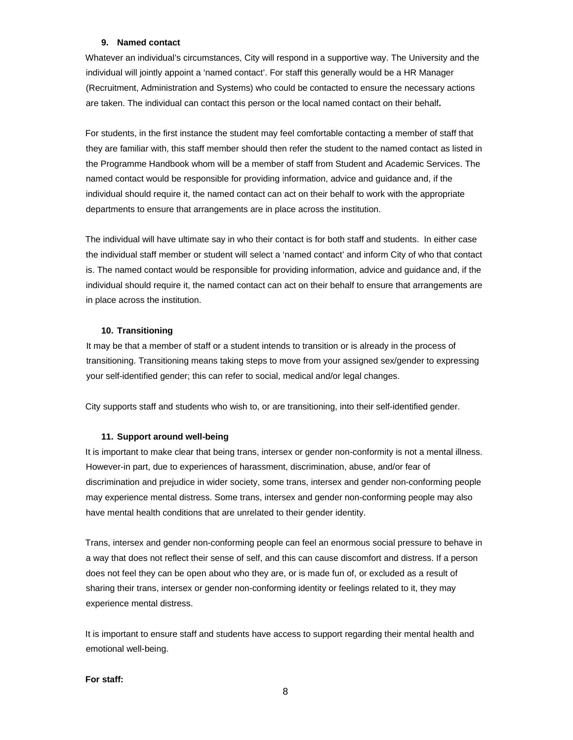### **9. Named contact**

Whatever an individual's circumstances, City will respond in a supportive way. The University and the individual will jointly appoint a 'named contact'. For staff this generally would be a HR Manager (Recruitment, Administration and Systems) who could be contacted to ensure the necessary actions are taken. The individual can contact this person or the local named contact on their behalf**.** 

For students, in the first instance the student may feel comfortable contacting a member of staff that they are familiar with, this staff member should then refer the student to the named contact as listed in the Programme Handbook whom will be a member of staff from Student and Academic Services. The named contact would be responsible for providing information, advice and guidance and, if the individual should require it, the named contact can act on their behalf to work with the appropriate departments to ensure that arrangements are in place across the institution.

The individual will have ultimate say in who their contact is for both staff and students. In either case the individual staff member or student will select a 'named contact' and inform City of who that contact is. The named contact would be responsible for providing information, advice and guidance and, if the individual should require it, the named contact can act on their behalf to ensure that arrangements are in place across the institution.

#### **10. Transitioning**

It may be that a member of staff or a student intends to transition or is already in the process of transitioning. Transitioning means taking steps to move from your assigned sex/gender to expressing your self-identified gender; this can refer to social, medical and/or legal changes.

City supports staff and students who wish to, or are transitioning, into their self-identified gender.

#### **11. Support around well-being**

It is important to make clear that being trans, intersex or gender non-conformity is not a mental illness. However-in part, due to experiences of harassment, discrimination, abuse, and/or fear of discrimination and prejudice in wider society, some trans, intersex and gender non-conforming people may experience mental distress. Some trans, intersex and gender non-conforming people may also have mental health conditions that are unrelated to their gender identity.

Trans, intersex and gender non-conforming people can feel an enormous social pressure to behave in a way that does not reflect their sense of self, and this can cause discomfort and distress. If a person does not feel they can be open about who they are, or is made fun of, or excluded as a result of sharing their trans, intersex or gender non-conforming identity or feelings related to it, they may experience mental distress.

It is important to ensure staff and students have access to support regarding their mental health and emotional well-being.

#### **For staff:**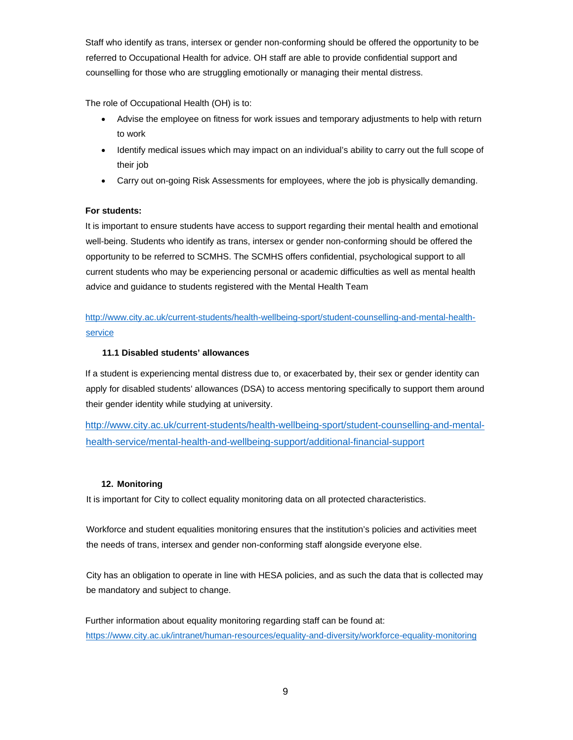Staff who identify as trans, intersex or gender non-conforming should be offered the opportunity to be referred to Occupational Health for advice. OH staff are able to provide confidential support and counselling for those who are struggling emotionally or managing their mental distress.

The role of Occupational Health (OH) is to:

- Advise the employee on fitness for work issues and temporary adjustments to help with return to work
- Identify medical issues which may impact on an individual's ability to carry out the full scope of their job
- Carry out on-going Risk Assessments for employees, where the job is physically demanding.

# **For students:**

It is important to ensure students have access to support regarding their mental health and emotional well-being. Students who identify as trans, intersex or gender non-conforming should be offered the opportunity to be referred to SCMHS. The SCMHS offers confidential, psychological support to all current students who may be experiencing personal or academic difficulties as well as mental health advice and guidance to students registered with the Mental Health Team

http://www.city.ac.uk/current-students/health-wellbeing-sport/student-counselling-and-mental-healthservice

# **11.1 Disabled students' allowances**

If a student is experiencing mental distress due to, or exacerbated by, their sex or gender identity can apply for disabled students' allowances (DSA) to access mentoring specifically to support them around their gender identity while studying at university.

http://www.city.ac.uk/current-students/health-wellbeing-sport/student-counselling-and-mentalhealth-service/mental-health-and-wellbeing-support/additional-financial-support

# **12. Monitoring**

It is important for City to collect equality monitoring data on all protected characteristics.

Workforce and student equalities monitoring ensures that the institution's policies and activities meet the needs of trans, intersex and gender non-conforming staff alongside everyone else.

City has an obligation to operate in line with HESA policies, and as such the data that is collected may be mandatory and subject to change.

Further information about equality monitoring regarding staff can be found at: https://www.city.ac.uk/intranet/human-resources/equality-and-diversity/workforce-equality-monitoring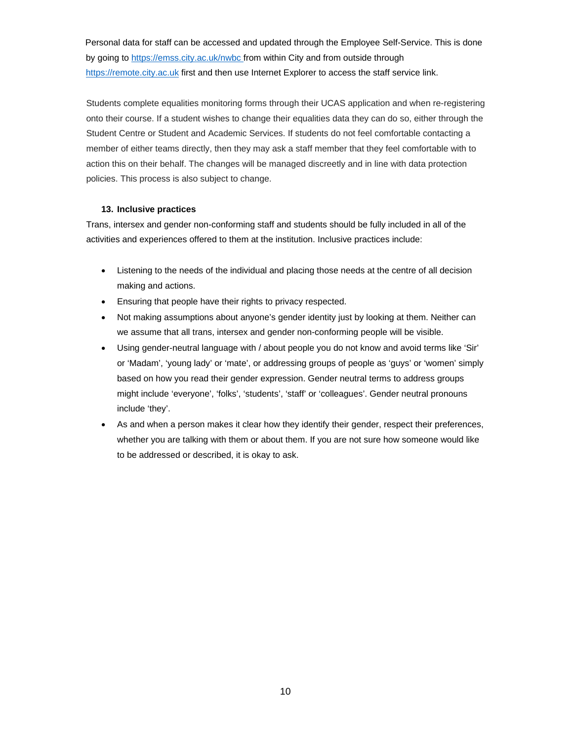Personal data for staff can be accessed and updated through the Employee Self-Service. This is done by going to https://emss.city.ac.uk/nwbc from within City and from outside through https://remote.city.ac.uk first and then use Internet Explorer to access the staff service link.

Students complete equalities monitoring forms through their UCAS application and when re-registering onto their course. If a student wishes to change their equalities data they can do so, either through the Student Centre or Student and Academic Services. If students do not feel comfortable contacting a member of either teams directly, then they may ask a staff member that they feel comfortable with to action this on their behalf. The changes will be managed discreetly and in line with data protection policies. This process is also subject to change.

## **13. Inclusive practices**

Trans, intersex and gender non-conforming staff and students should be fully included in all of the activities and experiences offered to them at the institution. Inclusive practices include:

- Listening to the needs of the individual and placing those needs at the centre of all decision making and actions.
- Ensuring that people have their rights to privacy respected.
- Not making assumptions about anyone's gender identity just by looking at them. Neither can we assume that all trans, intersex and gender non-conforming people will be visible.
- Using gender-neutral language with / about people you do not know and avoid terms like 'Sir' or 'Madam', 'young lady' or 'mate', or addressing groups of people as 'guys' or 'women' simply based on how you read their gender expression. Gender neutral terms to address groups might include 'everyone', 'folks', 'students', 'staff' or 'colleagues'. Gender neutral pronouns include 'they'.
- As and when a person makes it clear how they identify their gender, respect their preferences, whether you are talking with them or about them. If you are not sure how someone would like to be addressed or described, it is okay to ask.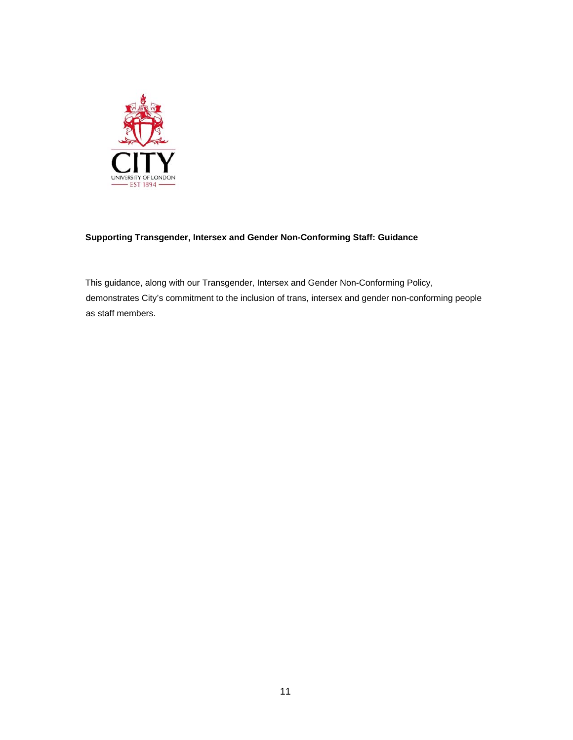

# **Supporting Transgender, Intersex and Gender Non-Conforming Staff: Guidance**

This guidance, along with our Transgender, Intersex and Gender Non-Conforming Policy, demonstrates City's commitment to the inclusion of trans, intersex and gender non-conforming people as staff members.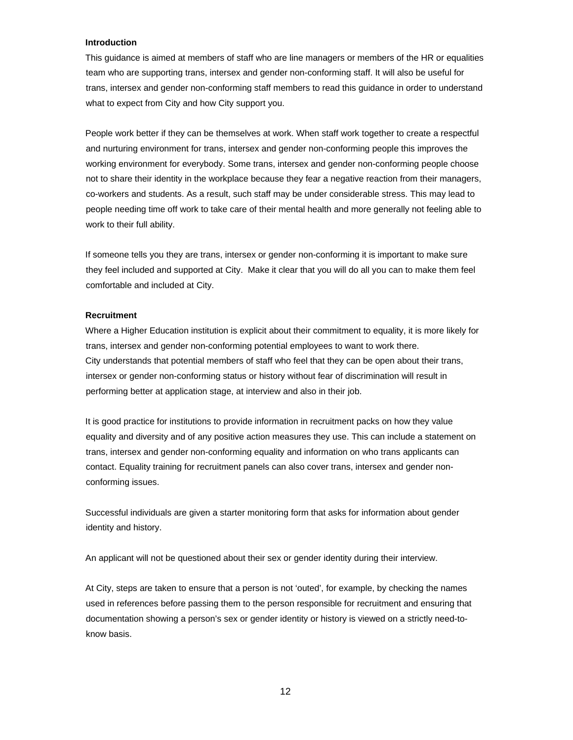### **Introduction**

This guidance is aimed at members of staff who are line managers or members of the HR or equalities team who are supporting trans, intersex and gender non-conforming staff. It will also be useful for trans, intersex and gender non-conforming staff members to read this guidance in order to understand what to expect from City and how City support you.

People work better if they can be themselves at work. When staff work together to create a respectful and nurturing environment for trans, intersex and gender non-conforming people this improves the working environment for everybody. Some trans, intersex and gender non-conforming people choose not to share their identity in the workplace because they fear a negative reaction from their managers, co-workers and students. As a result, such staff may be under considerable stress. This may lead to people needing time off work to take care of their mental health and more generally not feeling able to work to their full ability.

If someone tells you they are trans, intersex or gender non-conforming it is important to make sure they feel included and supported at City. Make it clear that you will do all you can to make them feel comfortable and included at City.

#### **Recruitment**

Where a Higher Education institution is explicit about their commitment to equality, it is more likely for trans, intersex and gender non-conforming potential employees to want to work there. City understands that potential members of staff who feel that they can be open about their trans, intersex or gender non-conforming status or history without fear of discrimination will result in performing better at application stage, at interview and also in their job.

It is good practice for institutions to provide information in recruitment packs on how they value equality and diversity and of any positive action measures they use. This can include a statement on trans, intersex and gender non-conforming equality and information on who trans applicants can contact. Equality training for recruitment panels can also cover trans, intersex and gender nonconforming issues.

Successful individuals are given a starter monitoring form that asks for information about gender identity and history.

An applicant will not be questioned about their sex or gender identity during their interview.

At City, steps are taken to ensure that a person is not 'outed', for example, by checking the names used in references before passing them to the person responsible for recruitment and ensuring that documentation showing a person's sex or gender identity or history is viewed on a strictly need-toknow basis.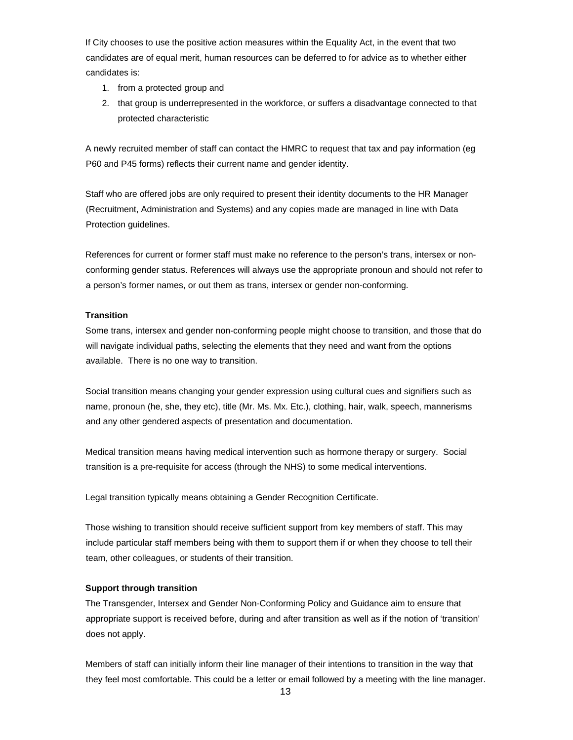If City chooses to use the positive action measures within the Equality Act, in the event that two candidates are of equal merit, human resources can be deferred to for advice as to whether either candidates is:

- 1. from a protected group and
- 2. that group is underrepresented in the workforce, or suffers a disadvantage connected to that protected characteristic

A newly recruited member of staff can contact the HMRC to request that tax and pay information (eg P60 and P45 forms) reflects their current name and gender identity.

Staff who are offered jobs are only required to present their identity documents to the HR Manager (Recruitment, Administration and Systems) and any copies made are managed in line with Data Protection guidelines.

References for current or former staff must make no reference to the person's trans, intersex or nonconforming gender status. References will always use the appropriate pronoun and should not refer to a person's former names, or out them as trans, intersex or gender non-conforming.

## **Transition**

Some trans, intersex and gender non-conforming people might choose to transition, and those that do will navigate individual paths, selecting the elements that they need and want from the options available. There is no one way to transition.

Social transition means changing your gender expression using cultural cues and signifiers such as name, pronoun (he, she, they etc), title (Mr. Ms. Mx. Etc.), clothing, hair, walk, speech, mannerisms and any other gendered aspects of presentation and documentation.

Medical transition means having medical intervention such as hormone therapy or surgery. Social transition is a pre-requisite for access (through the NHS) to some medical interventions.

Legal transition typically means obtaining a Gender Recognition Certificate.

Those wishing to transition should receive sufficient support from key members of staff. This may include particular staff members being with them to support them if or when they choose to tell their team, other colleagues, or students of their transition.

### **Support through transition**

The Transgender, Intersex and Gender Non-Conforming Policy and Guidance aim to ensure that appropriate support is received before, during and after transition as well as if the notion of 'transition' does not apply.

Members of staff can initially inform their line manager of their intentions to transition in the way that they feel most comfortable. This could be a letter or email followed by a meeting with the line manager.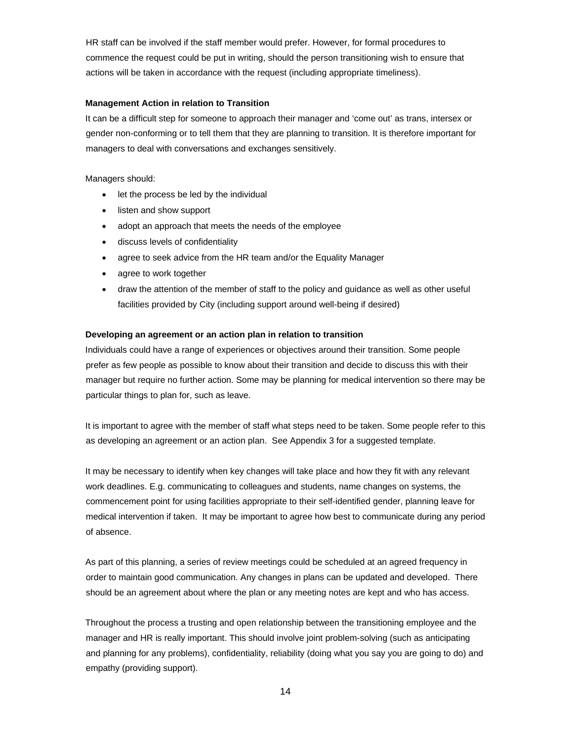HR staff can be involved if the staff member would prefer. However, for formal procedures to commence the request could be put in writing, should the person transitioning wish to ensure that actions will be taken in accordance with the request (including appropriate timeliness).

## **Management Action in relation to Transition**

It can be a difficult step for someone to approach their manager and 'come out' as trans, intersex or gender non-conforming or to tell them that they are planning to transition. It is therefore important for managers to deal with conversations and exchanges sensitively.

Managers should:

- let the process be led by the individual
- listen and show support
- adopt an approach that meets the needs of the employee
- discuss levels of confidentiality
- agree to seek advice from the HR team and/or the Equality Manager
- agree to work together
- draw the attention of the member of staff to the policy and guidance as well as other useful facilities provided by City (including support around well-being if desired)

## **Developing an agreement or an action plan in relation to transition**

Individuals could have a range of experiences or objectives around their transition. Some people prefer as few people as possible to know about their transition and decide to discuss this with their manager but require no further action. Some may be planning for medical intervention so there may be particular things to plan for, such as leave.

It is important to agree with the member of staff what steps need to be taken. Some people refer to this as developing an agreement or an action plan. See Appendix 3 for a suggested template.

It may be necessary to identify when key changes will take place and how they fit with any relevant work deadlines. E.g. communicating to colleagues and students, name changes on systems, the commencement point for using facilities appropriate to their self-identified gender, planning leave for medical intervention if taken. It may be important to agree how best to communicate during any period of absence.

As part of this planning, a series of review meetings could be scheduled at an agreed frequency in order to maintain good communication. Any changes in plans can be updated and developed. There should be an agreement about where the plan or any meeting notes are kept and who has access.

Throughout the process a trusting and open relationship between the transitioning employee and the manager and HR is really important. This should involve joint problem-solving (such as anticipating and planning for any problems), confidentiality, reliability (doing what you say you are going to do) and empathy (providing support).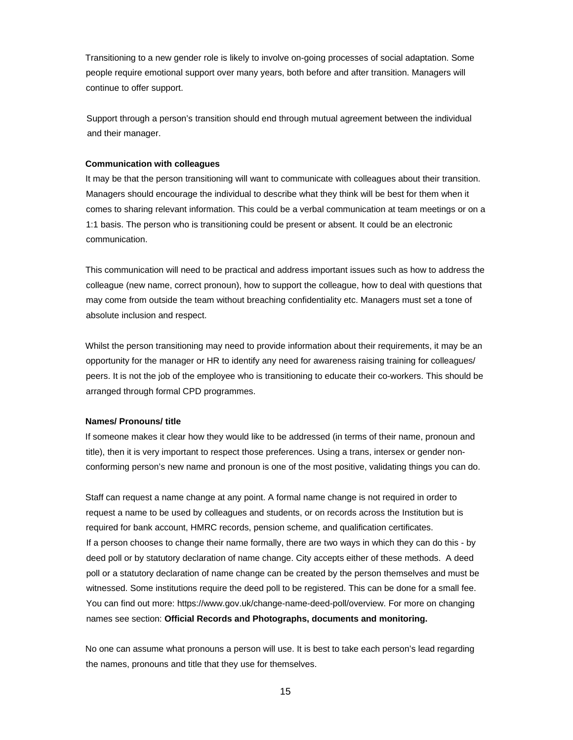Transitioning to a new gender role is likely to involve on-going processes of social adaptation. Some people require emotional support over many years, both before and after transition. Managers will continue to offer support.

Support through a person's transition should end through mutual agreement between the individual and their manager.

### **Communication with colleagues**

It may be that the person transitioning will want to communicate with colleagues about their transition. Managers should encourage the individual to describe what they think will be best for them when it comes to sharing relevant information. This could be a verbal communication at team meetings or on a 1:1 basis. The person who is transitioning could be present or absent. It could be an electronic communication.

This communication will need to be practical and address important issues such as how to address the colleague (new name, correct pronoun), how to support the colleague, how to deal with questions that may come from outside the team without breaching confidentiality etc. Managers must set a tone of absolute inclusion and respect.

Whilst the person transitioning may need to provide information about their requirements, it may be an opportunity for the manager or HR to identify any need for awareness raising training for colleagues/ peers. It is not the job of the employee who is transitioning to educate their co-workers. This should be arranged through formal CPD programmes.

#### **Names/ Pronouns/ title**

If someone makes it clear how they would like to be addressed (in terms of their name, pronoun and title), then it is very important to respect those preferences. Using a trans, intersex or gender nonconforming person's new name and pronoun is one of the most positive, validating things you can do.

Staff can request a name change at any point. A formal name change is not required in order to request a name to be used by colleagues and students, or on records across the Institution but is required for bank account, HMRC records, pension scheme, and qualification certificates. If a person chooses to change their name formally, there are two ways in which they can do this - by deed poll or by statutory declaration of name change. City accepts either of these methods. A deed poll or a statutory declaration of name change can be created by the person themselves and must be witnessed. Some institutions require the deed poll to be registered. This can be done for a small fee. You can find out more: https://www.gov.uk/change-name-deed-poll/overview. For more on changing names see section: **Official Records and Photographs, documents and monitoring.**

No one can assume what pronouns a person will use. It is best to take each person's lead regarding the names, pronouns and title that they use for themselves.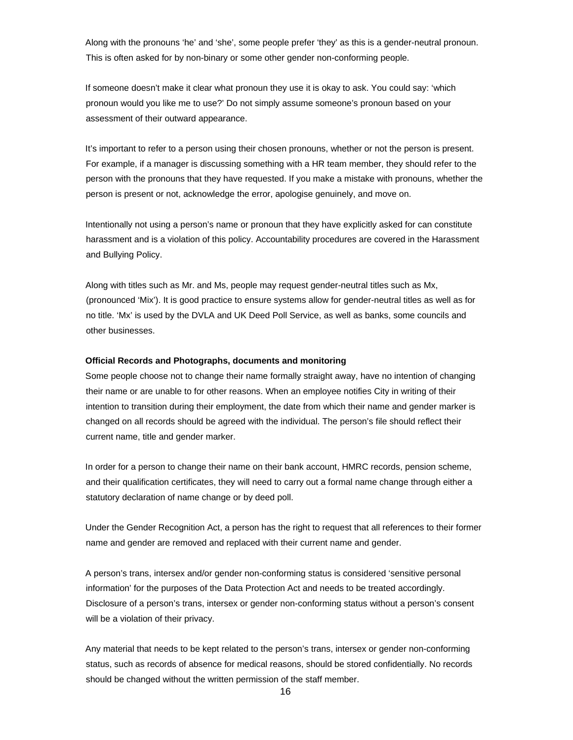Along with the pronouns 'he' and 'she', some people prefer 'they' as this is a gender-neutral pronoun. This is often asked for by non-binary or some other gender non-conforming people.

If someone doesn't make it clear what pronoun they use it is okay to ask. You could say: 'which pronoun would you like me to use?' Do not simply assume someone's pronoun based on your assessment of their outward appearance.

It's important to refer to a person using their chosen pronouns, whether or not the person is present. For example, if a manager is discussing something with a HR team member, they should refer to the person with the pronouns that they have requested. If you make a mistake with pronouns, whether the person is present or not, acknowledge the error, apologise genuinely, and move on.

Intentionally not using a person's name or pronoun that they have explicitly asked for can constitute harassment and is a violation of this policy. Accountability procedures are covered in the Harassment and Bullying Policy.

Along with titles such as Mr. and Ms, people may request gender-neutral titles such as Mx, (pronounced 'Mix'). It is good practice to ensure systems allow for gender-neutral titles as well as for no title. 'Mx' is used by the DVLA and UK Deed Poll Service, as well as banks, some councils and other businesses.

#### **Official Records and Photographs, documents and monitoring**

Some people choose not to change their name formally straight away, have no intention of changing their name or are unable to for other reasons. When an employee notifies City in writing of their intention to transition during their employment, the date from which their name and gender marker is changed on all records should be agreed with the individual. The person's file should reflect their current name, title and gender marker.

In order for a person to change their name on their bank account, HMRC records, pension scheme, and their qualification certificates, they will need to carry out a formal name change through either a statutory declaration of name change or by deed poll.

Under the Gender Recognition Act, a person has the right to request that all references to their former name and gender are removed and replaced with their current name and gender.

A person's trans, intersex and/or gender non-conforming status is considered 'sensitive personal information' for the purposes of the Data Protection Act and needs to be treated accordingly. Disclosure of a person's trans, intersex or gender non-conforming status without a person's consent will be a violation of their privacy.

Any material that needs to be kept related to the person's trans, intersex or gender non-conforming status, such as records of absence for medical reasons, should be stored confidentially. No records should be changed without the written permission of the staff member.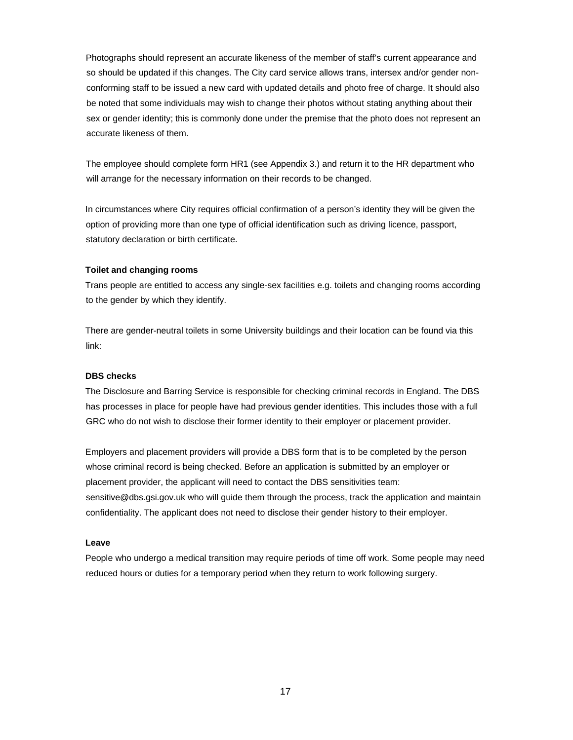Photographs should represent an accurate likeness of the member of staff's current appearance and so should be updated if this changes. The City card service allows trans, intersex and/or gender nonconforming staff to be issued a new card with updated details and photo free of charge. It should also be noted that some individuals may wish to change their photos without stating anything about their sex or gender identity; this is commonly done under the premise that the photo does not represent an accurate likeness of them.

The employee should complete form HR1 (see Appendix 3.) and return it to the HR department who will arrange for the necessary information on their records to be changed.

In circumstances where City requires official confirmation of a person's identity they will be given the option of providing more than one type of official identification such as driving licence, passport, statutory declaration or birth certificate.

### **Toilet and changing rooms**

Trans people are entitled to access any single-sex facilities e.g. toilets and changing rooms according to the gender by which they identify.

There are gender-neutral toilets in some University buildings and their location can be found via this link:

### **DBS checks**

The Disclosure and Barring Service is responsible for checking criminal records in England. The DBS has processes in place for people have had previous gender identities. This includes those with a full GRC who do not wish to disclose their former identity to their employer or placement provider.

Employers and placement providers will provide a DBS form that is to be completed by the person whose criminal record is being checked. Before an application is submitted by an employer or placement provider, the applicant will need to contact the DBS sensitivities team: sensitive@dbs.gsi.gov.uk who will guide them through the process, track the application and maintain confidentiality. The applicant does not need to disclose their gender history to their employer.

#### **Leave**

People who undergo a medical transition may require periods of time off work. Some people may need reduced hours or duties for a temporary period when they return to work following surgery.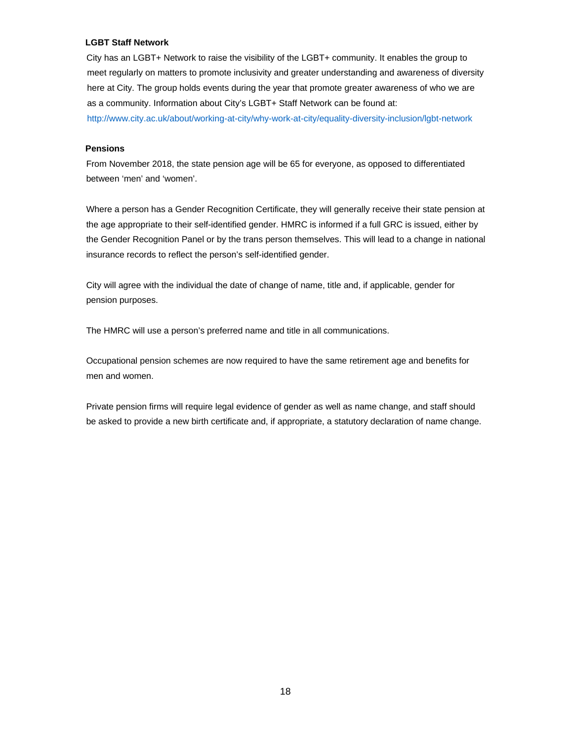# **LGBT Staff Network**

City has an LGBT+ Network to raise the visibility of the LGBT+ community. It enables the group to meet regularly on matters to promote inclusivity and greater understanding and awareness of diversity here at City. The group holds events during the year that promote greater awareness of who we are as a community. Information about City's LGBT+ Staff Network can be found at: http://www.city.ac.uk/about/working-at-city/why-work-at-city/equality-diversity-inclusion/lgbt-network

# **Pensions**

From November 2018, the state pension age will be 65 for everyone, as opposed to differentiated between 'men' and 'women'.

Where a person has a Gender Recognition Certificate, they will generally receive their state pension at the age appropriate to their self-identified gender. HMRC is informed if a full GRC is issued, either by the Gender Recognition Panel or by the trans person themselves. This will lead to a change in national insurance records to reflect the person's self-identified gender.

City will agree with the individual the date of change of name, title and, if applicable, gender for pension purposes.

The HMRC will use a person's preferred name and title in all communications.

Occupational pension schemes are now required to have the same retirement age and benefits for men and women.

Private pension firms will require legal evidence of gender as well as name change, and staff should be asked to provide a new birth certificate and, if appropriate, a statutory declaration of name change.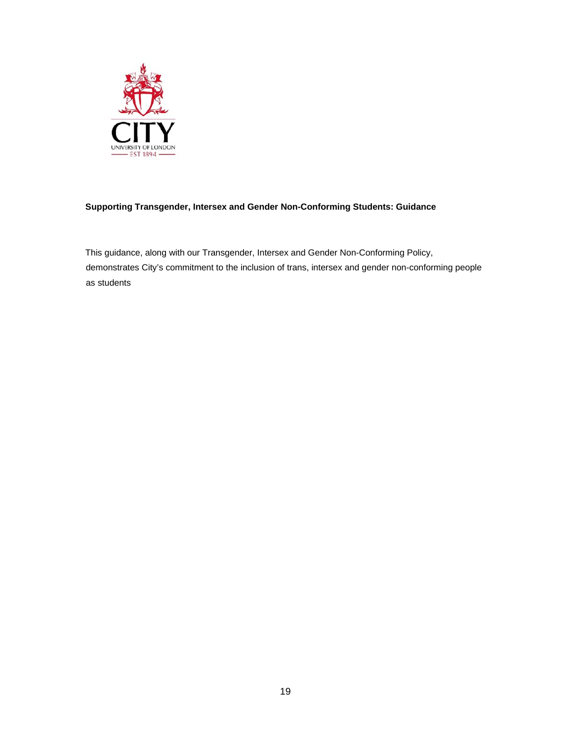

# **Supporting Transgender, Intersex and Gender Non-Conforming Students: Guidance**

This guidance, along with our Transgender, Intersex and Gender Non-Conforming Policy, demonstrates City's commitment to the inclusion of trans, intersex and gender non-conforming people as students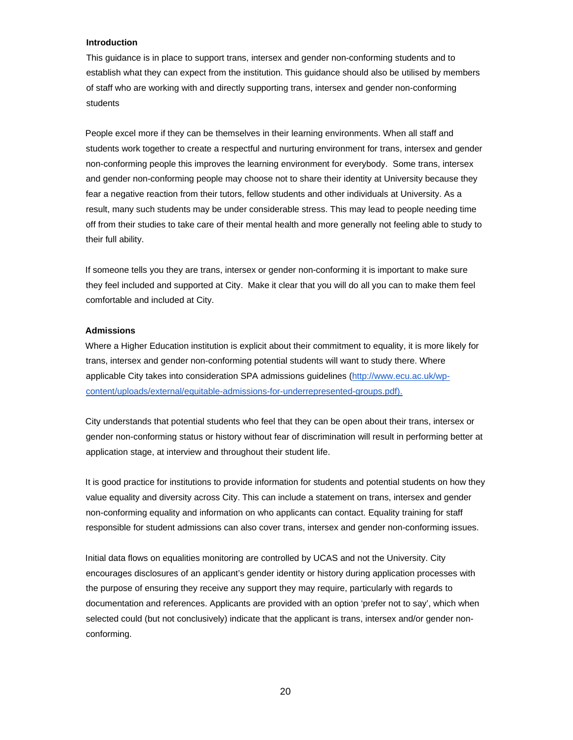#### **Introduction**

This guidance is in place to support trans, intersex and gender non-conforming students and to establish what they can expect from the institution. This guidance should also be utilised by members of staff who are working with and directly supporting trans, intersex and gender non-conforming students

People excel more if they can be themselves in their learning environments. When all staff and students work together to create a respectful and nurturing environment for trans, intersex and gender non-conforming people this improves the learning environment for everybody. Some trans, intersex and gender non-conforming people may choose not to share their identity at University because they fear a negative reaction from their tutors, fellow students and other individuals at University. As a result, many such students may be under considerable stress. This may lead to people needing time off from their studies to take care of their mental health and more generally not feeling able to study to their full ability.

If someone tells you they are trans, intersex or gender non-conforming it is important to make sure they feel included and supported at City. Make it clear that you will do all you can to make them feel comfortable and included at City.

#### **Admissions**

Where a Higher Education institution is explicit about their commitment to equality, it is more likely for trans, intersex and gender non-conforming potential students will want to study there. Where applicable City takes into consideration SPA admissions guidelines (http://www.ecu.ac.uk/wpcontent/uploads/external/equitable-admissions-for-underrepresented-groups.pdf).

City understands that potential students who feel that they can be open about their trans, intersex or gender non-conforming status or history without fear of discrimination will result in performing better at application stage, at interview and throughout their student life.

It is good practice for institutions to provide information for students and potential students on how they value equality and diversity across City. This can include a statement on trans, intersex and gender non-conforming equality and information on who applicants can contact. Equality training for staff responsible for student admissions can also cover trans, intersex and gender non-conforming issues.

Initial data flows on equalities monitoring are controlled by UCAS and not the University. City encourages disclosures of an applicant's gender identity or history during application processes with the purpose of ensuring they receive any support they may require, particularly with regards to documentation and references. Applicants are provided with an option 'prefer not to say', which when selected could (but not conclusively) indicate that the applicant is trans, intersex and/or gender nonconforming.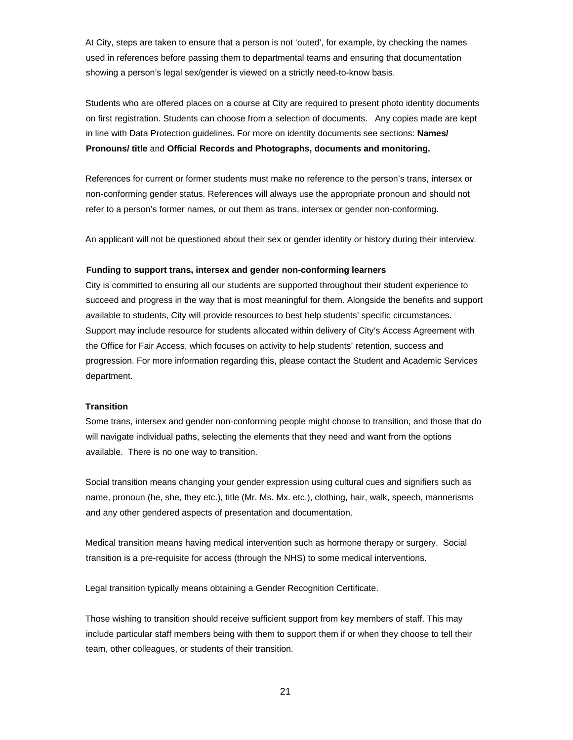At City, steps are taken to ensure that a person is not 'outed', for example, by checking the names used in references before passing them to departmental teams and ensuring that documentation showing a person's legal sex/gender is viewed on a strictly need-to-know basis.

Students who are offered places on a course at City are required to present photo identity documents on first registration. Students can choose from a selection of documents. Any copies made are kept in line with Data Protection guidelines. For more on identity documents see sections: **Names/ Pronouns/ title** and **Official Records and Photographs, documents and monitoring.**

References for current or former students must make no reference to the person's trans, intersex or non-conforming gender status. References will always use the appropriate pronoun and should not refer to a person's former names, or out them as trans, intersex or gender non-conforming.

An applicant will not be questioned about their sex or gender identity or history during their interview.

#### **Funding to support trans, intersex and gender non-conforming learners**

City is committed to ensuring all our students are supported throughout their student experience to succeed and progress in the way that is most meaningful for them. Alongside the benefits and support available to students, City will provide resources to best help students' specific circumstances. Support may include resource for students allocated within delivery of City's Access Agreement with the Office for Fair Access, which focuses on activity to help students' retention, success and progression. For more information regarding this, please contact the Student and Academic Services department.

#### **Transition**

Some trans, intersex and gender non-conforming people might choose to transition, and those that do will navigate individual paths, selecting the elements that they need and want from the options available. There is no one way to transition.

Social transition means changing your gender expression using cultural cues and signifiers such as name, pronoun (he, she, they etc.), title (Mr. Ms. Mx. etc.), clothing, hair, walk, speech, mannerisms and any other gendered aspects of presentation and documentation.

Medical transition means having medical intervention such as hormone therapy or surgery. Social transition is a pre-requisite for access (through the NHS) to some medical interventions.

Legal transition typically means obtaining a Gender Recognition Certificate.

Those wishing to transition should receive sufficient support from key members of staff. This may include particular staff members being with them to support them if or when they choose to tell their team, other colleagues, or students of their transition.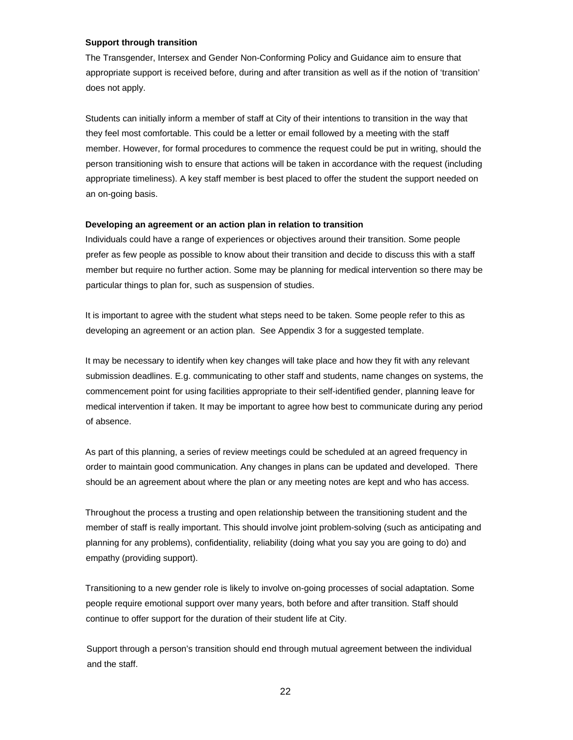#### **Support through transition**

The Transgender, Intersex and Gender Non-Conforming Policy and Guidance aim to ensure that appropriate support is received before, during and after transition as well as if the notion of 'transition' does not apply.

Students can initially inform a member of staff at City of their intentions to transition in the way that they feel most comfortable. This could be a letter or email followed by a meeting with the staff member. However, for formal procedures to commence the request could be put in writing, should the person transitioning wish to ensure that actions will be taken in accordance with the request (including appropriate timeliness). A key staff member is best placed to offer the student the support needed on an on-going basis.

#### **Developing an agreement or an action plan in relation to transition**

Individuals could have a range of experiences or objectives around their transition. Some people prefer as few people as possible to know about their transition and decide to discuss this with a staff member but require no further action. Some may be planning for medical intervention so there may be particular things to plan for, such as suspension of studies.

It is important to agree with the student what steps need to be taken. Some people refer to this as developing an agreement or an action plan. See Appendix 3 for a suggested template.

It may be necessary to identify when key changes will take place and how they fit with any relevant submission deadlines. E.g. communicating to other staff and students, name changes on systems, the commencement point for using facilities appropriate to their self-identified gender, planning leave for medical intervention if taken. It may be important to agree how best to communicate during any period of absence.

As part of this planning, a series of review meetings could be scheduled at an agreed frequency in order to maintain good communication. Any changes in plans can be updated and developed. There should be an agreement about where the plan or any meeting notes are kept and who has access.

Throughout the process a trusting and open relationship between the transitioning student and the member of staff is really important. This should involve joint problem-solving (such as anticipating and planning for any problems), confidentiality, reliability (doing what you say you are going to do) and empathy (providing support).

Transitioning to a new gender role is likely to involve on-going processes of social adaptation. Some people require emotional support over many years, both before and after transition. Staff should continue to offer support for the duration of their student life at City.

Support through a person's transition should end through mutual agreement between the individual and the staff.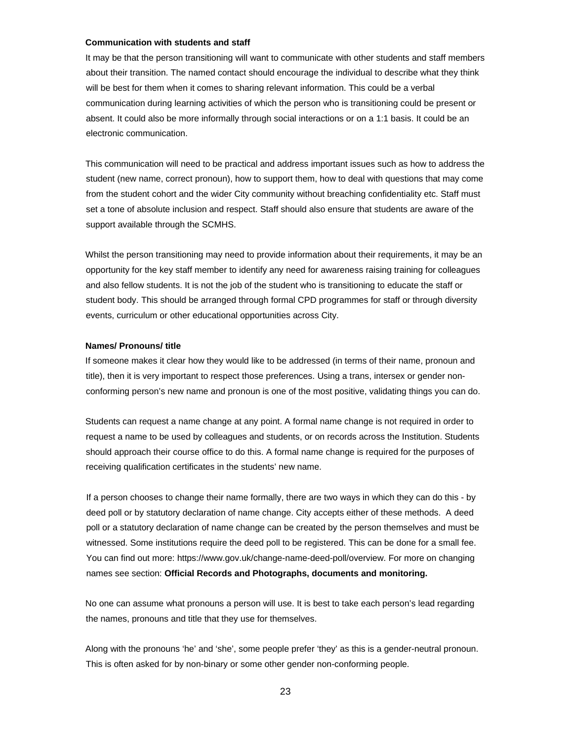### **Communication with students and staff**

It may be that the person transitioning will want to communicate with other students and staff members about their transition. The named contact should encourage the individual to describe what they think will be best for them when it comes to sharing relevant information. This could be a verbal communication during learning activities of which the person who is transitioning could be present or absent. It could also be more informally through social interactions or on a 1:1 basis. It could be an electronic communication.

This communication will need to be practical and address important issues such as how to address the student (new name, correct pronoun), how to support them, how to deal with questions that may come from the student cohort and the wider City community without breaching confidentiality etc. Staff must set a tone of absolute inclusion and respect. Staff should also ensure that students are aware of the support available through the SCMHS.

Whilst the person transitioning may need to provide information about their requirements, it may be an opportunity for the key staff member to identify any need for awareness raising training for colleagues and also fellow students. It is not the job of the student who is transitioning to educate the staff or student body. This should be arranged through formal CPD programmes for staff or through diversity events, curriculum or other educational opportunities across City.

#### **Names/ Pronouns/ title**

If someone makes it clear how they would like to be addressed (in terms of their name, pronoun and title), then it is very important to respect those preferences. Using a trans, intersex or gender nonconforming person's new name and pronoun is one of the most positive, validating things you can do.

Students can request a name change at any point. A formal name change is not required in order to request a name to be used by colleagues and students, or on records across the Institution. Students should approach their course office to do this. A formal name change is required for the purposes of receiving qualification certificates in the students' new name.

If a person chooses to change their name formally, there are two ways in which they can do this - by deed poll or by statutory declaration of name change. City accepts either of these methods. A deed poll or a statutory declaration of name change can be created by the person themselves and must be witnessed. Some institutions require the deed poll to be registered. This can be done for a small fee. You can find out more: https://www.gov.uk/change-name-deed-poll/overview. For more on changing names see section: **Official Records and Photographs, documents and monitoring.**

No one can assume what pronouns a person will use. It is best to take each person's lead regarding the names, pronouns and title that they use for themselves.

Along with the pronouns 'he' and 'she', some people prefer 'they' as this is a gender-neutral pronoun. This is often asked for by non-binary or some other gender non-conforming people.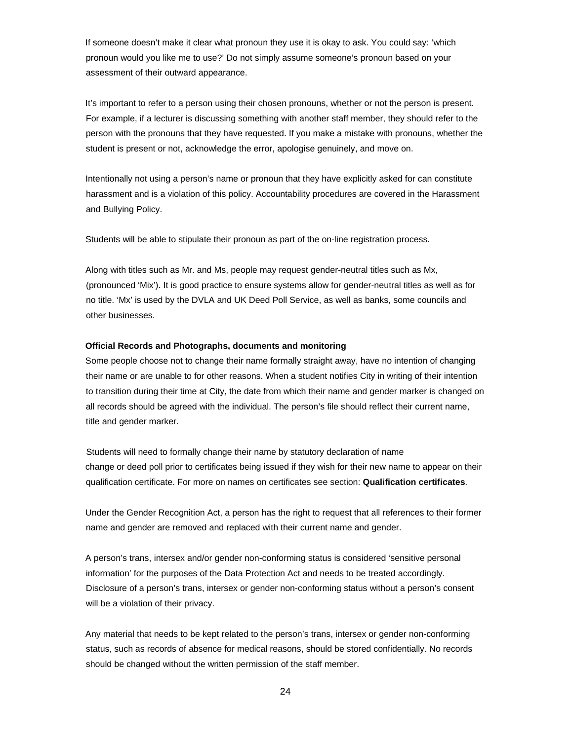If someone doesn't make it clear what pronoun they use it is okay to ask. You could say: 'which pronoun would you like me to use?' Do not simply assume someone's pronoun based on your assessment of their outward appearance.

It's important to refer to a person using their chosen pronouns, whether or not the person is present. For example, if a lecturer is discussing something with another staff member, they should refer to the person with the pronouns that they have requested. If you make a mistake with pronouns, whether the student is present or not, acknowledge the error, apologise genuinely, and move on.

Intentionally not using a person's name or pronoun that they have explicitly asked for can constitute harassment and is a violation of this policy. Accountability procedures are covered in the Harassment and Bullying Policy.

Students will be able to stipulate their pronoun as part of the on-line registration process.

Along with titles such as Mr. and Ms, people may request gender-neutral titles such as Mx, (pronounced 'Mix'). It is good practice to ensure systems allow for gender-neutral titles as well as for no title. 'Mx' is used by the DVLA and UK Deed Poll Service, as well as banks, some councils and other businesses.

#### **Official Records and Photographs, documents and monitoring**

Some people choose not to change their name formally straight away, have no intention of changing their name or are unable to for other reasons. When a student notifies City in writing of their intention to transition during their time at City, the date from which their name and gender marker is changed on all records should be agreed with the individual. The person's file should reflect their current name, title and gender marker.

Students will need to formally change their name by statutory declaration of name change or deed poll prior to certificates being issued if they wish for their new name to appear on their qualification certificate. For more on names on certificates see section: **Qualification certificates**.

Under the Gender Recognition Act, a person has the right to request that all references to their former name and gender are removed and replaced with their current name and gender.

A person's trans, intersex and/or gender non-conforming status is considered 'sensitive personal information' for the purposes of the Data Protection Act and needs to be treated accordingly. Disclosure of a person's trans, intersex or gender non-conforming status without a person's consent will be a violation of their privacy.

Any material that needs to be kept related to the person's trans, intersex or gender non-conforming status, such as records of absence for medical reasons, should be stored confidentially. No records should be changed without the written permission of the staff member.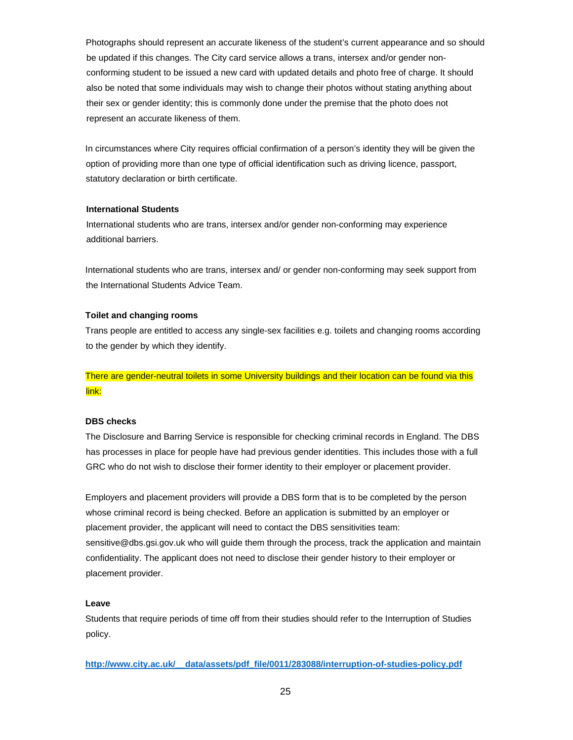Photographs should represent an accurate likeness of the student's current appearance and so should be updated if this changes. The City card service allows a trans, intersex and/or gender nonconforming student to be issued a new card with updated details and photo free of charge. It should also be noted that some individuals may wish to change their photos without stating anything about their sex or gender identity; this is commonly done under the premise that the photo does not represent an accurate likeness of them.

In circumstances where City requires official confirmation of a person's identity they will be given the option of providing more than one type of official identification such as driving licence, passport, statutory declaration or birth certificate.

## **International Students**

International students who are trans, intersex and/or gender non-conforming may experience additional barriers.

International students who are trans, intersex and/ or gender non-conforming may seek support from the International Students Advice Team.

## **Toilet and changing rooms**

Trans people are entitled to access any single-sex facilities e.g. toilets and changing rooms according to the gender by which they identify.

# There are gender-neutral toilets in some University buildings and their location can be found via this link:

# **DBS checks**

The Disclosure and Barring Service is responsible for checking criminal records in England. The DBS has processes in place for people have had previous gender identities. This includes those with a full GRC who do not wish to disclose their former identity to their employer or placement provider.

Employers and placement providers will provide a DBS form that is to be completed by the person whose criminal record is being checked. Before an application is submitted by an employer or placement provider, the applicant will need to contact the DBS sensitivities team: sensitive@dbs.gsi.gov.uk who will guide them through the process, track the application and maintain confidentiality. The applicant does not need to disclose their gender history to their employer or placement provider.

### **Leave**

Students that require periods of time off from their studies should refer to the Interruption of Studies policy.

**http://www.city.ac.uk/\_\_data/assets/pdf\_file/0011/283088/interruption-of-studies-policy.pdf**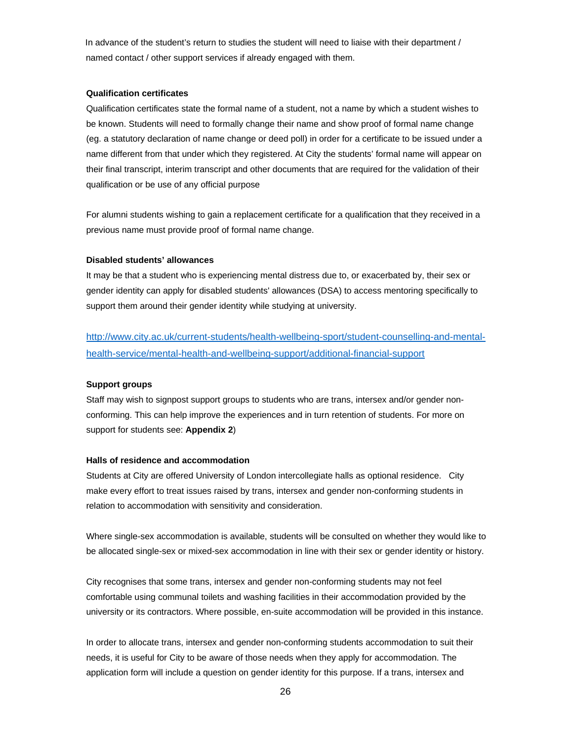In advance of the student's return to studies the student will need to liaise with their department / named contact / other support services if already engaged with them.

#### **Qualification certificates**

Qualification certificates state the formal name of a student, not a name by which a student wishes to be known. Students will need to formally change their name and show proof of formal name change (eg. a statutory declaration of name change or deed poll) in order for a certificate to be issued under a name different from that under which they registered. At City the students' formal name will appear on their final transcript, interim transcript and other documents that are required for the validation of their qualification or be use of any official purpose

For alumni students wishing to gain a replacement certificate for a qualification that they received in a previous name must provide proof of formal name change.

#### **Disabled students' allowances**

It may be that a student who is experiencing mental distress due to, or exacerbated by, their sex or gender identity can apply for disabled students' allowances (DSA) to access mentoring specifically to support them around their gender identity while studying at university.

http://www.city.ac.uk/current-students/health-wellbeing-sport/student-counselling-and-mentalhealth-service/mental-health-and-wellbeing-support/additional-financial-support

### **Support groups**

Staff may wish to signpost support groups to students who are trans, intersex and/or gender nonconforming. This can help improve the experiences and in turn retention of students. For more on support for students see: **Appendix 2**)

#### **Halls of residence and accommodation**

Students at City are offered University of London intercollegiate halls as optional residence. City make every effort to treat issues raised by trans, intersex and gender non-conforming students in relation to accommodation with sensitivity and consideration.

Where single-sex accommodation is available, students will be consulted on whether they would like to be allocated single-sex or mixed-sex accommodation in line with their sex or gender identity or history.

City recognises that some trans, intersex and gender non-conforming students may not feel comfortable using communal toilets and washing facilities in their accommodation provided by the university or its contractors. Where possible, en-suite accommodation will be provided in this instance.

In order to allocate trans, intersex and gender non-conforming students accommodation to suit their needs, it is useful for City to be aware of those needs when they apply for accommodation. The application form will include a question on gender identity for this purpose. If a trans, intersex and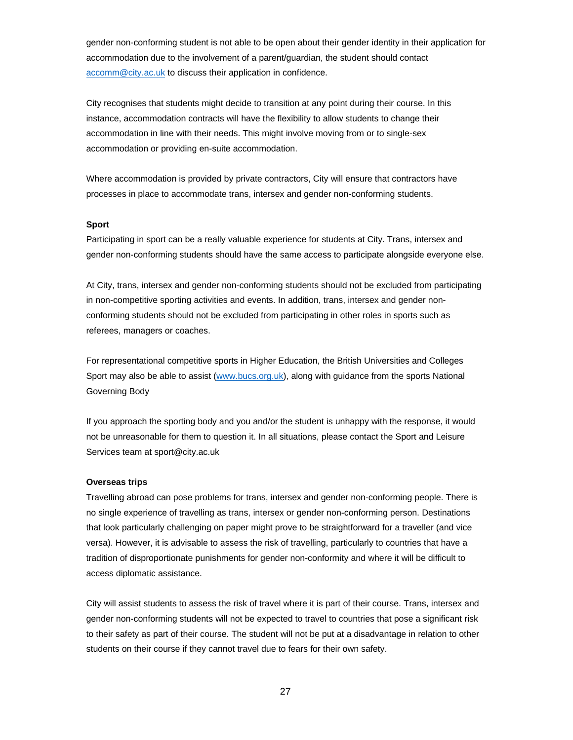gender non-conforming student is not able to be open about their gender identity in their application for accommodation due to the involvement of a parent/guardian, the student should contact accomm@city.ac.uk to discuss their application in confidence.

City recognises that students might decide to transition at any point during their course. In this instance, accommodation contracts will have the flexibility to allow students to change their accommodation in line with their needs. This might involve moving from or to single-sex accommodation or providing en-suite accommodation.

Where accommodation is provided by private contractors, City will ensure that contractors have processes in place to accommodate trans, intersex and gender non-conforming students.

#### **Sport**

Participating in sport can be a really valuable experience for students at City. Trans, intersex and gender non-conforming students should have the same access to participate alongside everyone else.

At City, trans, intersex and gender non-conforming students should not be excluded from participating in non-competitive sporting activities and events. In addition, trans, intersex and gender nonconforming students should not be excluded from participating in other roles in sports such as referees, managers or coaches.

For representational competitive sports in Higher Education, the British Universities and Colleges Sport may also be able to assist (www.bucs.org.uk), along with guidance from the sports National Governing Body

If you approach the sporting body and you and/or the student is unhappy with the response, it would not be unreasonable for them to question it. In all situations, please contact the Sport and Leisure Services team at sport@city.ac.uk

#### **Overseas trips**

Travelling abroad can pose problems for trans, intersex and gender non-conforming people. There is no single experience of travelling as trans, intersex or gender non-conforming person. Destinations that look particularly challenging on paper might prove to be straightforward for a traveller (and vice versa). However, it is advisable to assess the risk of travelling, particularly to countries that have a tradition of disproportionate punishments for gender non-conformity and where it will be difficult to access diplomatic assistance.

City will assist students to assess the risk of travel where it is part of their course. Trans, intersex and gender non-conforming students will not be expected to travel to countries that pose a significant risk to their safety as part of their course. The student will not be put at a disadvantage in relation to other students on their course if they cannot travel due to fears for their own safety.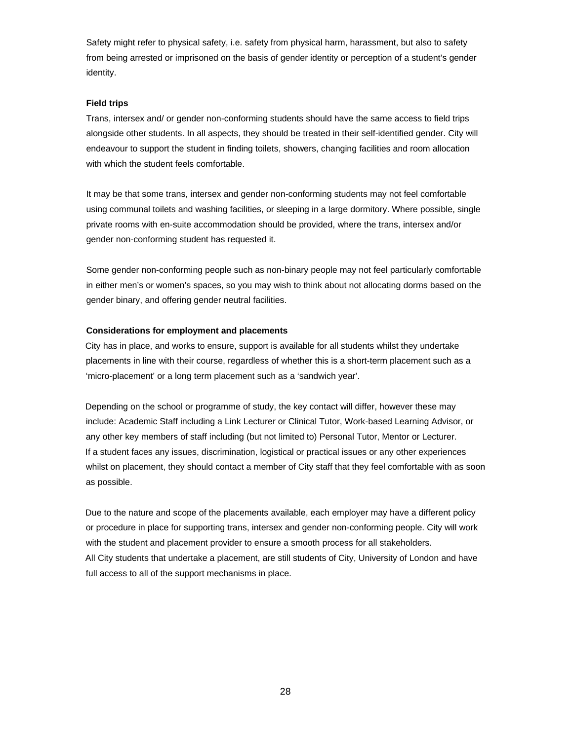Safety might refer to physical safety, i.e. safety from physical harm, harassment, but also to safety from being arrested or imprisoned on the basis of gender identity or perception of a student's gender identity.

### **Field trips**

Trans, intersex and/ or gender non-conforming students should have the same access to field trips alongside other students. In all aspects, they should be treated in their self-identified gender. City will endeavour to support the student in finding toilets, showers, changing facilities and room allocation with which the student feels comfortable.

It may be that some trans, intersex and gender non-conforming students may not feel comfortable using communal toilets and washing facilities, or sleeping in a large dormitory. Where possible, single private rooms with en-suite accommodation should be provided, where the trans, intersex and/or gender non-conforming student has requested it.

Some gender non-conforming people such as non-binary people may not feel particularly comfortable in either men's or women's spaces, so you may wish to think about not allocating dorms based on the gender binary, and offering gender neutral facilities.

## **Considerations for employment and placements**

City has in place, and works to ensure, support is available for all students whilst they undertake placements in line with their course, regardless of whether this is a short-term placement such as a 'micro-placement' or a long term placement such as a 'sandwich year'.

Depending on the school or programme of study, the key contact will differ, however these may include: Academic Staff including a Link Lecturer or Clinical Tutor, Work-based Learning Advisor, or any other key members of staff including (but not limited to) Personal Tutor, Mentor or Lecturer. If a student faces any issues, discrimination, logistical or practical issues or any other experiences whilst on placement, they should contact a member of City staff that they feel comfortable with as soon as possible.

Due to the nature and scope of the placements available, each employer may have a different policy or procedure in place for supporting trans, intersex and gender non-conforming people. City will work with the student and placement provider to ensure a smooth process for all stakeholders. All City students that undertake a placement, are still students of City, University of London and have full access to all of the support mechanisms in place.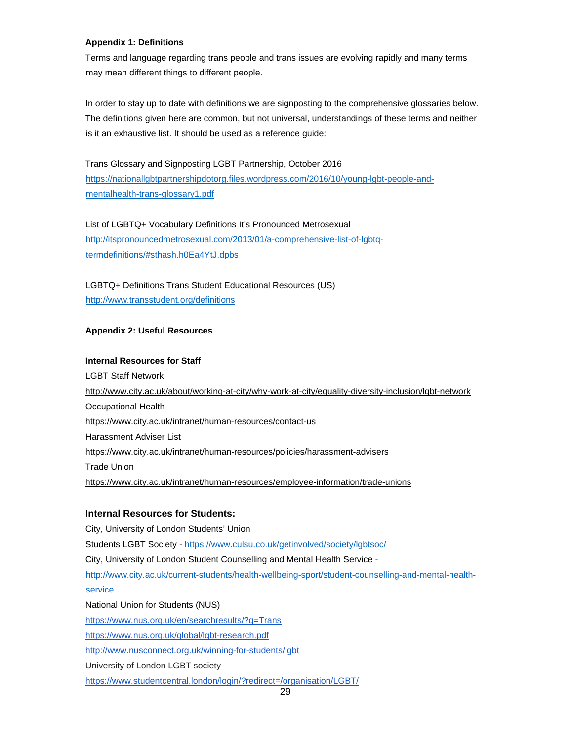## **Appendix 1: Definitions**

Terms and language regarding trans people and trans issues are evolving rapidly and many terms may mean different things to different people.

In order to stay up to date with definitions we are signposting to the comprehensive glossaries below. The definitions given here are common, but not universal, understandings of these terms and neither is it an exhaustive list. It should be used as a reference guide:

Trans Glossary and Signposting LGBT Partnership, October 2016 https://nationallgbtpartnershipdotorg.files.wordpress.com/2016/10/young-lgbt-people-andmentalhealth-trans-glossary1.pdf

List of LGBTQ+ Vocabulary Definitions It's Pronounced Metrosexual http://itspronouncedmetrosexual.com/2013/01/a-comprehensive-list-of-lgbtqtermdefinitions/#sthash.h0Ea4YtJ.dpbs

# LGBTQ+ Definitions Trans Student Educational Resources (US) http://www.transstudent.org/definitions

# **Appendix 2: Useful Resources**

# **Internal Resources for Staff**

LGBT Staff Network http://www.city.ac.uk/about/working-at-city/why-work-at-city/equality-diversity-inclusion/lgbt-network Occupational Health https://www.city.ac.uk/intranet/human-resources/contact-us Harassment Adviser List https://www.city.ac.uk/intranet/human-resources/policies/harassment-advisers Trade Union https://www.city.ac.uk/intranet/human-resources/employee-information/trade-unions

# **Internal Resources for Students:**

City, University of London Students' Union Students LGBT Society - https://www.culsu.co.uk/getinvolved/society/lgbtsoc/ City, University of London Student Counselling and Mental Health Service http://www.city.ac.uk/current-students/health-wellbeing-sport/student-counselling-and-mental-healthservice National Union for Students (NUS) https://www.nus.org.uk/en/searchresults/?q=Trans https://www.nus.org.uk/global/lgbt-research.pdf http://www.nusconnect.org.uk/winning-for-students/lgbt University of London LGBT society https://www.studentcentral.london/login/?redirect=/organisation/LGBT/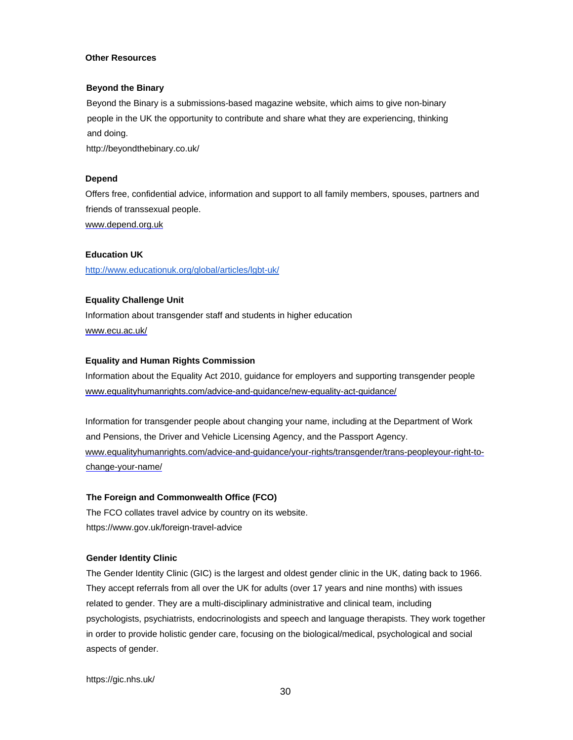## **Other Resources**

#### **Beyond the Binary**

Beyond the Binary is a submissions-based magazine website, which aims to give non-binary people in the UK the opportunity to contribute and share what they are experiencing, thinking and doing.

http://beyondthebinary.co.uk/

#### **Depend**

Offers free, confidential advice, information and support to all family members, spouses, partners and friends of transsexual people. www.depend.org.uk

#### **Education UK**

http://www.educationuk.org/global/articles/lgbt-uk/

### **Equality Challenge Unit**

Information about transgender staff and students in higher education www.ecu.ac.uk/

#### **Equality and Human Rights Commission**

Information about the Equality Act 2010, guidance for employers and supporting transgender people www.equalityhumanrights.com/advice-and-guidance/new-equality-act-guidance/

Information for transgender people about changing your name, including at the Department of Work and Pensions, the Driver and Vehicle Licensing Agency, and the Passport Agency. www.equalityhumanrights.com/advice-and-guidance/your-rights/transgender/trans-peopleyour-right-tochange-your-name/

## **The Foreign and Commonwealth Office (FCO)**

The FCO collates travel advice by country on its website. https://www.gov.uk/foreign-travel-advice

#### **Gender Identity Clinic**

The Gender Identity Clinic (GIC) is the largest and oldest gender clinic in the UK, dating back to 1966. They accept referrals from all over the UK for adults (over 17 years and nine months) with issues related to gender. They are a multi-disciplinary administrative and clinical team, including psychologists, psychiatrists, endocrinologists and speech and language therapists. They work together in order to provide holistic gender care, focusing on the biological/medical, psychological and social aspects of gender.

https://gic.nhs.uk/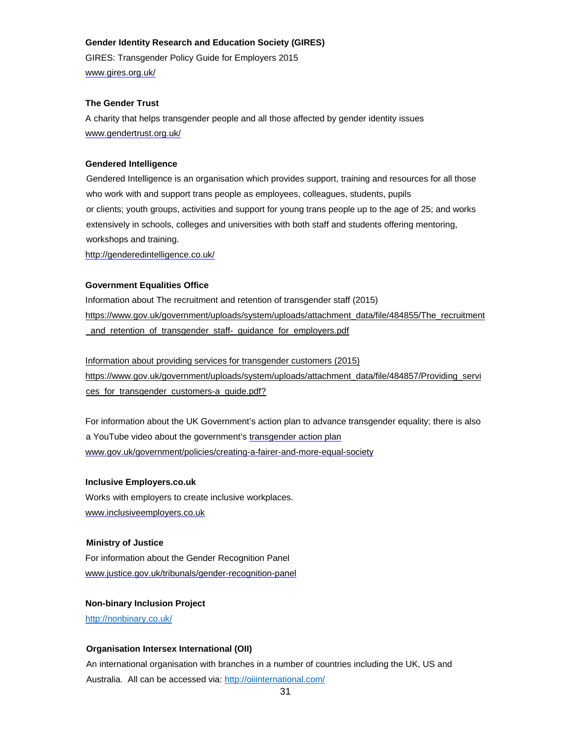### **Gender Identity Research and Education Society (GIRES)**

GIRES: Transgender Policy Guide for Employers 2015 www.gires.org.uk/

## **The Gender Trust**

A charity that helps transgender people and all those affected by gender identity issues www.gendertrust.org.uk/

# **Gendered Intelligence**

Gendered Intelligence is an organisation which provides support, training and resources for all those who work with and support trans people as employees, colleagues, students, pupils or clients; youth groups, activities and support for young trans people up to the age of 25; and works extensively in schools, colleges and universities with both staff and students offering mentoring, workshops and training.

http://genderedintelligence.co.uk/

## **Government Equalities Office**

Information about The recruitment and retention of transgender staff (2015) https://www.gov.uk/government/uploads/system/uploads/attachment\_data/file/484855/The\_recruitment \_and\_retention\_of\_transgender\_staff-\_guidance\_for\_employers.pdf

Information about providing services for transgender customers (2015) https://www.gov.uk/government/uploads/system/uploads/attachment\_data/file/484857/Providing\_servi ces\_for\_transgender\_customers-a\_guide.pdf?

For information about the UK Government's action plan to advance transgender equality; there is also a YouTube video about the government's transgender action plan www.gov.uk/government/policies/creating-a-fairer-and-more-equal-society

### **Inclusive Employers.co.uk**

Works with employers to create inclusive workplaces. www.inclusiveemployers.co.uk

### **Ministry of Justice**

For information about the Gender Recognition Panel www.justice.gov.uk/tribunals/gender-recognition-panel

**Non-binary Inclusion Project**  http://nonbinary.co.uk/

# **Organisation Intersex International (OII)**

An international organisation with branches in a number of countries including the UK, US and Australia. All can be accessed via: http://oiiinternational.com/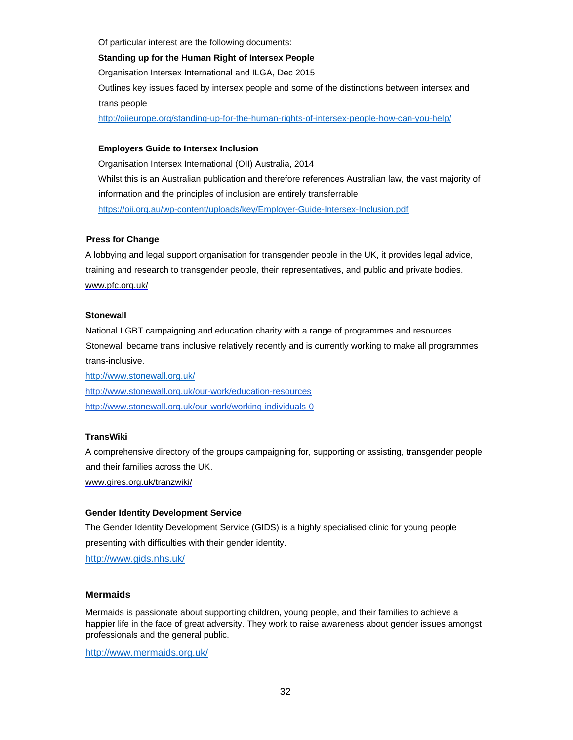Of particular interest are the following documents:

### **Standing up for the Human Right of Intersex People**

Organisation Intersex International and ILGA, Dec 2015

Outlines key issues faced by intersex people and some of the distinctions between intersex and trans people

http://oiieurope.org/standing-up-for-the-human-rights-of-intersex-people-how-can-you-help/

## **Employers Guide to Intersex Inclusion**

Organisation Intersex International (OII) Australia, 2014 Whilst this is an Australian publication and therefore references Australian law, the vast majority of information and the principles of inclusion are entirely transferrable https://oii.org.au/wp-content/uploads/key/Employer-Guide-Intersex-Inclusion.pdf

# **Press for Change**

A lobbying and legal support organisation for transgender people in the UK, it provides legal advice, training and research to transgender people, their representatives, and public and private bodies. www.pfc.org.uk/

### **Stonewall**

National LGBT campaigning and education charity with a range of programmes and resources. Stonewall became trans inclusive relatively recently and is currently working to make all programmes trans-inclusive.

http://www.stonewall.org.uk/ http://www.stonewall.org.uk/our-work/education-resources http://www.stonewall.org.uk/our-work/working-individuals-0

# **TransWiki**

A comprehensive directory of the groups campaigning for, supporting or assisting, transgender people and their families across the UK.

www.gires.org.uk/tranzwiki/

### **Gender Identity Development Service**

The Gender Identity Development Service (GIDS) is a highly specialised clinic for young people presenting with difficulties with their gender identity.

http://www.gids.nhs.uk/

### **Mermaids**

Mermaids is passionate about supporting children, young people, and their families to achieve a happier life in the face of great adversity. They work to raise awareness about gender issues amongst professionals and the general public.

http://www.mermaids.org.uk/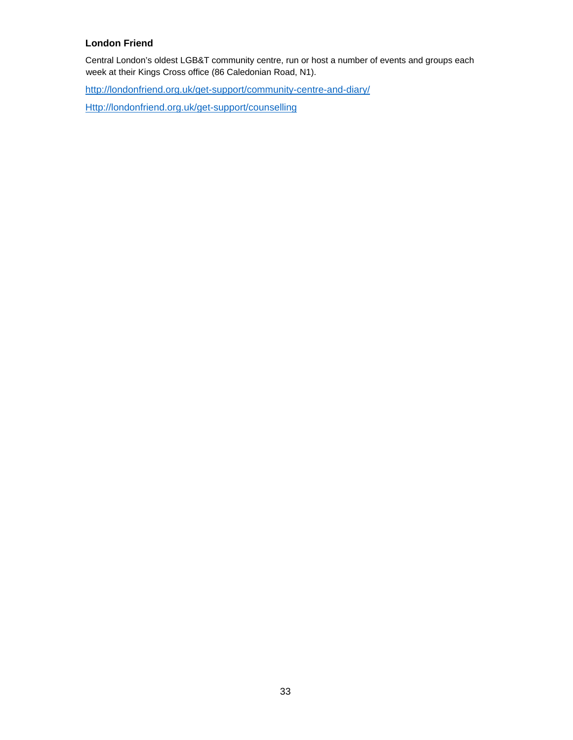# **London Friend**

Central London's oldest LGB&T community centre, run or host a number of events and groups each week at their Kings Cross office (86 Caledonian Road, N1).

http://londonfriend.org.uk/get-support/community-centre-and-diary/

Http://londonfriend.org.uk/get-support/counselling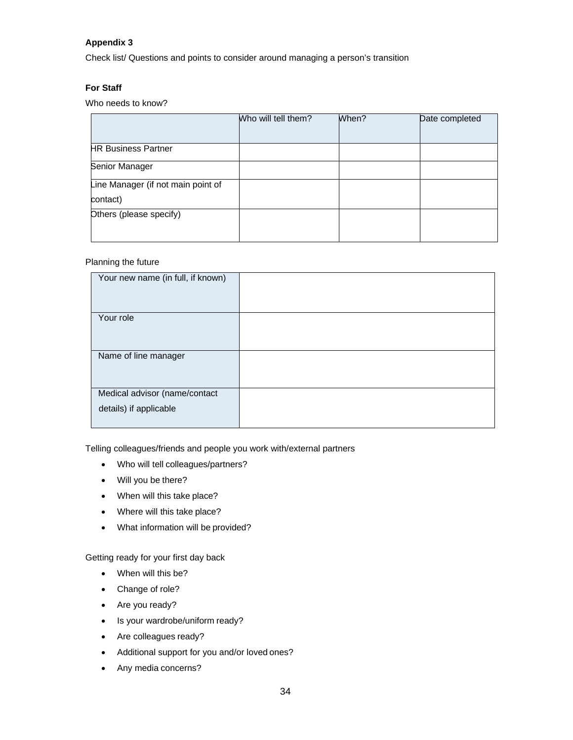# **Appendix 3**

Check list/ Questions and points to consider around managing a person's transition

# **For Staff**

Who needs to know?

|                                    | Who will tell them? | When? | Date completed |
|------------------------------------|---------------------|-------|----------------|
|                                    |                     |       |                |
| <b>HR Business Partner</b>         |                     |       |                |
| Senior Manager                     |                     |       |                |
| Line Manager (if not main point of |                     |       |                |
| contact)                           |                     |       |                |
| Others (please specify)            |                     |       |                |
|                                    |                     |       |                |

# Planning the future

| Your new name (in full, if known)                       |  |
|---------------------------------------------------------|--|
| Your role                                               |  |
| Name of line manager                                    |  |
| Medical advisor (name/contact<br>details) if applicable |  |

Telling colleagues/friends and people you work with/external partners

- Who will tell colleagues/partners?
- Will you be there?
- When will this take place?
- Where will this take place?
- What information will be provided?

Getting ready for your first day back

- When will this be?
- Change of role?
- Are you ready?
- Is your wardrobe/uniform ready?
- Are colleagues ready?
- Additional support for you and/or loved ones?
- Any media concerns?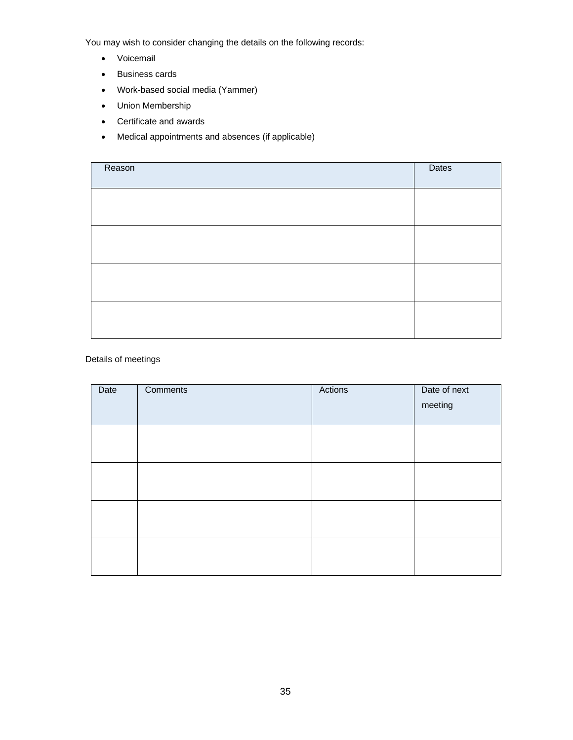You may wish to consider changing the details on the following records:

- Voicemail
- Business cards
- Work-based social media (Yammer)
- Union Membership
- Certificate and awards
- Medical appointments and absences (if applicable)

| Reason | Dates |
|--------|-------|
|        |       |
|        |       |
|        |       |
|        |       |

## Details of meetings

| Date | Comments | Actions | Date of next<br>meeting |
|------|----------|---------|-------------------------|
|      |          |         |                         |
|      |          |         |                         |
|      |          |         |                         |
|      |          |         |                         |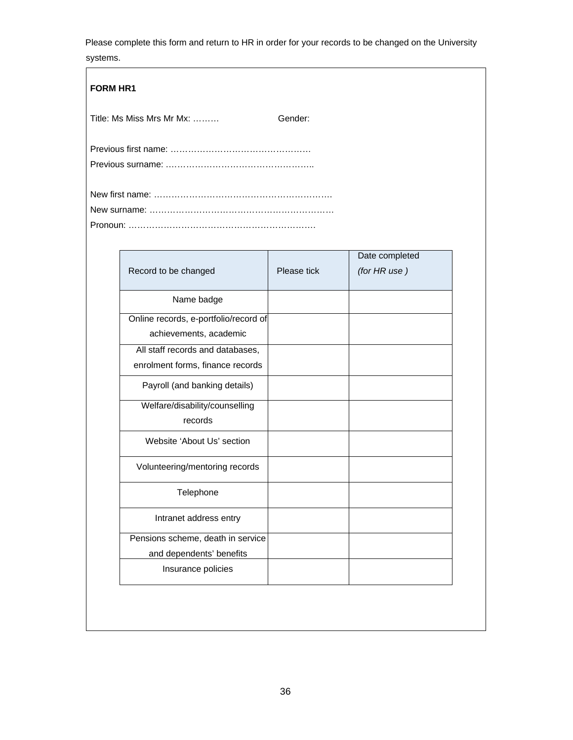Please complete this form and return to HR in order for your records to be changed on the University systems.

| <b>FORM HR1</b> |                           |             |                              |
|-----------------|---------------------------|-------------|------------------------------|
|                 | Title: Ms Miss Mrs Mr Mx: | Gender:     |                              |
|                 |                           |             |                              |
|                 |                           |             |                              |
|                 | Record to be changed      | Please tick | Date complet<br>(for HR use) |
|                 |                           |             |                              |

| Record to be changed                                                 | Please tick | Date completed<br>(for HR use) |
|----------------------------------------------------------------------|-------------|--------------------------------|
| Name badge                                                           |             |                                |
| Online records, e-portfolio/record of<br>achievements, academic      |             |                                |
| All staff records and databases,<br>enrolment forms, finance records |             |                                |
| Payroll (and banking details)                                        |             |                                |
| Welfare/disability/counselling<br>records                            |             |                                |
| Website 'About Us' section                                           |             |                                |
| Volunteering/mentoring records                                       |             |                                |
| Telephone                                                            |             |                                |
| Intranet address entry                                               |             |                                |
| Pensions scheme, death in service<br>and dependents' benefits        |             |                                |
| Insurance policies                                                   |             |                                |
|                                                                      |             |                                |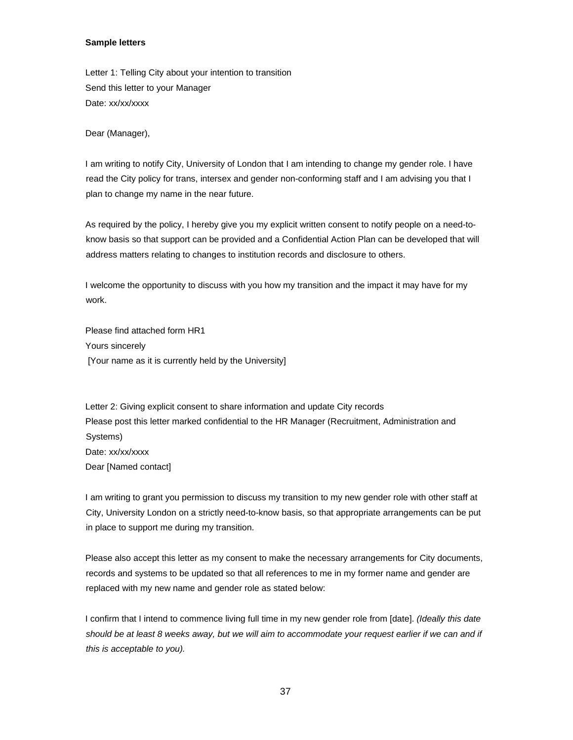## **Sample letters**

Letter 1: Telling City about your intention to transition Send this letter to your Manager Date: xx/xx/xxxx

Dear (Manager),

I am writing to notify City, University of London that I am intending to change my gender role. I have read the City policy for trans, intersex and gender non-conforming staff and I am advising you that I plan to change my name in the near future.

As required by the policy, I hereby give you my explicit written consent to notify people on a need-toknow basis so that support can be provided and a Confidential Action Plan can be developed that will address matters relating to changes to institution records and disclosure to others.

I welcome the opportunity to discuss with you how my transition and the impact it may have for my work.

Please find attached form HR1 Yours sincerely [Your name as it is currently held by the University]

Letter 2: Giving explicit consent to share information and update City records Please post this letter marked confidential to the HR Manager (Recruitment, Administration and Systems) Date: xx/xx/xxxx Dear [Named contact]

I am writing to grant you permission to discuss my transition to my new gender role with other staff at City, University London on a strictly need-to-know basis, so that appropriate arrangements can be put in place to support me during my transition.

Please also accept this letter as my consent to make the necessary arrangements for City documents, records and systems to be updated so that all references to me in my former name and gender are replaced with my new name and gender role as stated below:

I confirm that I intend to commence living full time in my new gender role from [date]. *(Ideally this date should be at least 8 weeks away, but we will aim to accommodate your request earlier if we can and if this is acceptable to you).*